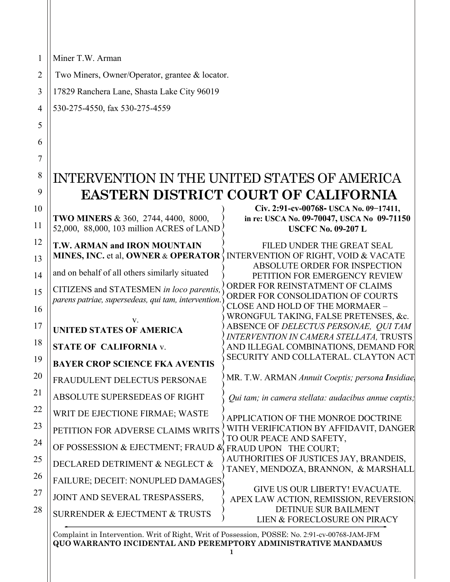1 2 3 4 5 6 7 8 9 10 11 12 13 14 15 16 17 18 19 20 21 22 23 24 25 26 27 28 Miner T.W. Arman Two Miners, Owner/Operator, grantee & locator. 17829 Ranchera Lane, Shasta Lake City 96019 530-275-4550, fax 530-275-4559 INTERVENTION IN THE UNITED STATES OF AMERICA **EASTERN DISTRICT COURT OF CALIFORNIA TWO MINERS** & 360, 2744, 4400, 8000, 52,000, 88,000, 103 million ACRES of LAND **T.W. ARMAN and IRON MOUNTAIN MINES, INC.** et al, **OWNER** & **OPERATOR** and on behalf of all others similarly situated CITIZENS and STATESMEN *in loco parentis, parens patriae, supersedeas, qui tam, intervention*. v. **UNITED STATES OF AMERICA STATE OF CALIFORNIA** v. **BAYER CROP SCIENCE FKA AVENTIS** FRAUDULENT DELECTUS PERSONAE ABSOLUTE SUPERSEDEAS OF RIGHT WRIT DE EJECTIONE FIRMAE; WASTE PETITION FOR ADVERSE CLAIMS WRITS  $\rangle$ OF POSSESSION & EJECTMENT; FRAUD  $\stackrel{\circ}{\delta_{\text{N}}}$ DECLARED DETRIMENT & NEGLECT & FAILURE; DECEIT: NONUPLED DAMAGES $\rangle$ JOINT AND SEVERAL TRESPASSERS, SURRENDER & EJECTMENT & TRUSTS ) ) ) ) ) ) ) ) ) ) )  $\lambda$ ) ) ) ) ) ) ) ) ) ) ) ) ) ) ) ) FRAUD UPON THE COURT; ) ) ) ) ) ) ) **Civ. 2:91-cv-00768- USCA No. 09−17411, in re: USCA No. 09-70047, USCA No 09-71150 USCFC No. 09-207 L**  FILED UNDER THE GREAT SEAL INTERVENTION OF RIGHT, VOID & VACATE ABSOLUTE ORDER FOR INSPECTION PETITION FOR EMERGENCY REVIEW ORDER FOR REINSTATMENT OF CLAIMS ORDER FOR CONSOLIDATION OF COURTS CLOSE AND HOLD OF THE MORMAER – WRONGFUL TAKING, FALSE PRETENSES, &c. ABSENCE OF *DELECTUS PERSONAE, QUI TAM INTERVENTION IN CAMERA STELLATA,* TRUSTS AND ILLEGAL COMBINATIONS, DEMAND FOR SECURITY AND COLLATERAL. CLAYTON ACT MR. T.W. ARMAN *Annuit Coeptis; persona Insidiae; Qui tam; in camera stellata: audacibus annue cœptis;* APPLICATION OF THE MONROE DOCTRINE WITH VERIFICATION BY AFFIDAVIT, DANGER TO OUR PEACE AND SAFETY, AUTHORITIES OF JUSTICES JAY, BRANDEIS, TANEY, MENDOZA, BRANNON, & MARSHALL GIVE US OUR LIBERTY! EVACUATE. APEX LAW ACTION, REMISSION, REVERSION, DETINUE SUR BAILMENT LIEN & FORECLOSURE ON PIRACY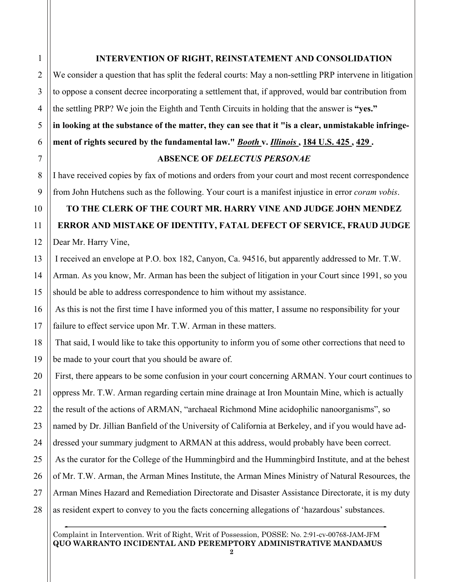#### **INTERVENTION OF RIGHT, REINSTATEMENT AND CONSOLIDATION**

We consider a question that has split the federal courts: May a non-settling PRP intervene in litigation to oppose a consent decree incorporating a settlement that, if approved, would bar contribution from the settling PRP? We join the Eighth and Tenth Circuits in holding that the answer is **"yes."** 

**[in looking at the substance of the matter, they can see that it "is a clear, unmistakable infringe](http://www.ironmountainmine.com/iron mountain/INTERVENTION BRIEF AND ORDER FOR EJECTMENT.pdf)[ment of rights secured by the fundamental law."](http://www.ironmountainmine.com/iron mountain/INTERVENTION BRIEF AND ORDER FOR EJECTMENT.pdf)** *Booth* **v.** *Illinois* **, [184 U.S. 425 ,](http://www.loislaw.com/livepublish8923/doclink.htp?alias=USCASE&cite=184+U.S.+425) [429 .](http://www.loislaw.com/livepublish8923/doclink.htp?alias=USCASE&cite=184+U.S.+425#PG429)** 

#### **ABSENCE OF** *DELECTUS PERSONAE*

I have received copies by fax of motions and orders from your court and most recent correspondence from John Hutchens such as the following. Your court is a manifest injustice in error *coram vobis*.

# **TO THE CLERK OF THE COURT MR. HARRY VINE AND JUDGE JOHN MENDEZ ERROR AND MISTAKE OF IDENTITY, FATAL DEFECT OF SERVICE, FRAUD JUDGE**  Dear Mr. Harry Vine,

 I received an envelope at P.O. box 182, Canyon, Ca. 94516, but apparently addressed to Mr. T.W. Arman. As you know, Mr. Arman has been the subject of litigation in your Court since 1991, so you should be able to address correspondence to him without my assistance.

 As this is not the first time I have informed you of this matter, I assume no responsibility for your failure to effect service upon Mr. T.W. Arman in these matters.

 That said, I would like to take this opportunity to inform you of some other corrections that need to be made to your court that you should be aware of.

First, there appears to be some confusion in your court concerning ARMAN. Your court continues to

oppress Mr. T.W. Arman regarding certain mine drainage at Iron Mountain Mine, which is actually

the result of the actions of ARMAN, "archaeal Richmond Mine acidophilic nanoorganisms", so

named by Dr. Jillian Banfield of the University of California at Berkeley, and if you would have ad-

dressed your summary judgment to ARMAN at this address, would probably have been correct.

As the curator for the College of the Hummingbird and the Hummingbird Institute, and at the behest

of Mr. T.W. Arman, the Arman Mines Institute, the Arman Mines Ministry of Natural Resources, the

Arman Mines Hazard and Remediation Directorate and Disaster Assistance Directorate, it is my duty as resident expert to convey to you the facts concerning allegations of 'hazardous' substances.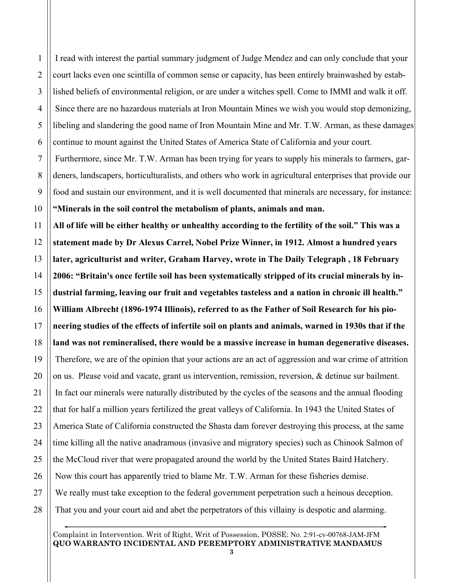I read with interest the partial summary judgment of Judge Mendez and can only conclude that your court lacks even one scintilla of common sense or capacity, has been entirely brainwashed by established beliefs of environmental religion, or are under a witches spell. Come to IMMI and walk it off. Since there are no hazardous materials at Iron Mountain Mines we wish you would stop demonizing, libeling and slandering the good name of Iron Mountain Mine and Mr. T.W. Arman, as these damages continue to mount against the United States of America State of California and your court.

 Furthermore, since Mr. T.W. Arman has been trying for years to supply his minerals to farmers, gardeners, landscapers, horticulturalists, and others who work in agricultural enterprises that provide our food and sustain our environment, and it is well documented that minerals are necessary, for instance: **"Minerals in the soil control the metabolism of plants, animals and man.** 

**All of life will be either healthy or unhealthy according to the fertility of the soil." This was a statement made by Dr Alexus Carrel, Nobel Prize Winner, in 1912. Almost a hundred years later, agriculturist and writer, Graham Harvey, wrote in The Daily Telegraph , 18 February 2006: "Britain's once fertile soil has been systematically stripped of its crucial minerals by industrial farming, leaving our fruit and vegetables tasteless and a nation in chronic ill health." William Albrecht (1896-1974 Illinois), referred to as the Father of Soil Research for his pioneering studies of the effects of infertile soil on plants and animals, warned in 1930s that if the land was not remineralised, there would be a massive increase in human degenerative diseases.**  Therefore, we are of the opinion that your actions are an act of aggression and war crime of attrition on us. Please void and vacate, grant us intervention, remission, reversion, & detinue sur bailment. In fact our minerals were naturally distributed by the cycles of the seasons and the annual flooding that for half a million years fertilized the great valleys of California. In 1943 the United States of America State of California constructed the Shasta dam forever destroying this process, at the same time killing all the native anadramous (invasive and migratory species) such as Chinook Salmon of the McCloud river that were propagated around the world by the United States Baird Hatchery. Now this court has apparently tried to blame Mr. T.W. Arman for these fisheries demise. We really must take exception to the federal government perpetration such a heinous deception. That you and your court aid and abet the perpetrators of this villainy is despotic and alarming.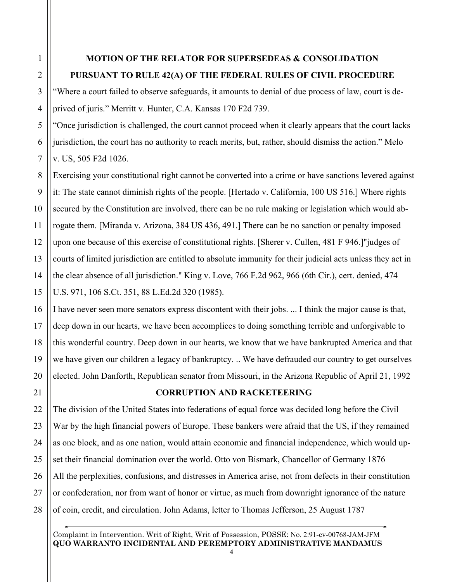# **MOTION OF THE RELATOR FOR SUPERSEDEAS & CONSOLIDATION PURSUANT TO RULE 42(A) OF THE FEDERAL RULES OF CIVIL PROCEDURE**

"Where a court failed to observe safeguards, it amounts to denial of due process of law, court is deprived of juris." Merritt v. Hunter, C.A. Kansas 170 F2d 739.

"Once jurisdiction is challenged, the court cannot proceed when it clearly appears that the court lacks jurisdiction, the court has no authority to reach merits, but, rather, should dismiss the action." Melo v. US, 505 F2d 1026.

Exercising your constitutional right cannot be converted into a crime or have sanctions levered against it: The state cannot diminish rights of the people. [Hertado v. California, 100 US 516.] Where rights secured by the Constitution are involved, there can be no rule making or legislation which would abrogate them. [Miranda v. Arizona, 384 US 436, 491.] There can be no sanction or penalty imposed upon one because of this exercise of constitutional rights. [Sherer v. Cullen, 481 F 946.]"judges of courts of limited jurisdiction are entitled to absolute immunity for their judicial acts unless they act in the clear absence of all jurisdiction." King v. Love, 766 F.2d 962, 966 (6th Cir.), cert. denied, 474 U.S. 971, 106 S.Ct. 351, 88 L.Ed.2d 320 (1985).

I have never seen more senators express discontent with their jobs. ... I think the major cause is that, deep down in our hearts, we have been accomplices to doing something terrible and unforgivable to this wonderful country. Deep down in our hearts, we know that we have bankrupted America and that we have given our children a legacy of bankruptcy. .. We have defrauded our country to get ourselves elected. [John Danforth,](http://en.wikipedia.org/wiki/John_Danforth) Republican senator from Missouri, in the Arizona Republic of April 21, 1992

## **CORRUPTION AND RACKETEERING**

The division of the United States into federations of equal force was decided long before the Civil War by the high financial powers of Europe. These bankers were afraid that the US, if they remained as one block, and as one nation, would attain economic and financial independence, which would upset their financial domination over the world. [Otto von Bismark,](http://en.wikiquote.org/wiki/Otto_von_Bismark) Chancellor of Germany 1876 All the perplexities, confusions, and distresses in America arise, not from defects in their constitution or confederation, nor from want of honor or virtue, as much from downright ignorance of the nature of coin, credit, and circulation. [John Adams](http://en.wikiquote.org/wiki/John_Adams), letter to [Thomas Jefferson,](http://en.wikiquote.org/wiki/Thomas_Jefferson) 25 August 1787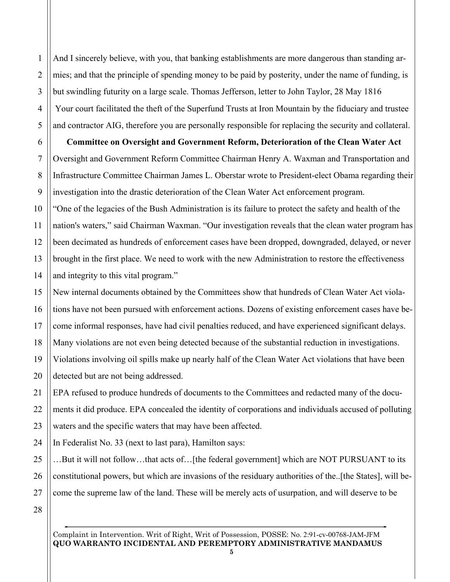And I sincerely believe, with you, that banking establishments are more dangerous than standing armies; and that the principle of spending money to be paid by posterity, under the name of funding, is but swindling futurity on a large scale. [Thomas Jefferson,](http://en.wikiquote.org/wiki/Thomas_Jefferson) letter to John Taylor, 28 May 1816 Your court facilitated the theft of the Superfund Trusts at Iron Mountain by the fiduciary and trustee and contractor AIG, therefore you are personally responsible for replacing the security and collateral.

**Committee on Oversight and Government Reform, Deterioration of the Clean Water Act**  Oversight and Government Reform Committee Chairman Henry A. Waxman and Transportation and Infrastructure Committee Chairman James L. Oberstar wrote to President-elect Obama regarding their investigation into the drastic deterioration of the Clean Water Act enforcement program.

"One of the legacies of the Bush Administration is its failure to protect the safety and health of the nation's waters," said Chairman Waxman. "Our investigation reveals that the clean water program has been decimated as hundreds of enforcement cases have been dropped, downgraded, delayed, or never brought in the first place. We need to work with the new Administration to restore the effectiveness and integrity to this vital program."

New internal documents obtained by the Committees show that hundreds of Clean Water Act violations have not been pursued with enforcement actions. Dozens of existing enforcement cases have become informal responses, have had civil penalties reduced, and have experienced significant delays. Many violations are not even being detected because of the substantial reduction in investigations. Violations involving oil spills make up nearly half of the Clean Water Act violations that have been detected but are not being addressed.

EPA refused to produce hundreds of documents to the Committees and redacted many of the documents it did produce. EPA concealed the identity of corporations and individuals accused of polluting waters and the specific waters that may have been affected.

In [Federalist No. 33](http://www.foundingfathers.info/federalistpapers/fed33.htm) (next to last para), Hamilton says:

…But it will not follow…that acts of…[the federal government] which are NOT PURSUANT to its constitutional powers, but which are invasions of the residuary authorities of the..[the States], will become the supreme law of the land. These will be merely acts of usurpation, and will deserve to be

Complaint in Intervention. Writ of Right, Writ of Possession, POSSE: No. 2:91-cv-00768-JAM-JFM **QUO WARRANTO INCIDENTAL AND PEREMPTORY ADMINISTRATIVE MANDAMUS 5**

1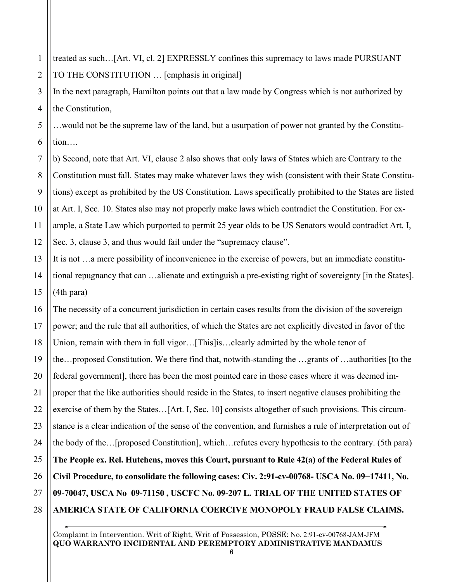1 2 treated as such…[Art. VI, cl. 2] EXPRESSLY confines this supremacy to laws made PURSUANT TO THE CONSTITUTION … [emphasis in original]

4 In the next paragraph, Hamilton points out that a law made by Congress which is not authorized by the Constitution,

…would not be the supreme law of the land, but a usurpation of power not granted by the Constitution….

b) Second, note that Art. VI, clause 2 also shows that only laws of States which are Contrary to the Constitution must fall. States may make whatever laws they wish (consistent with their State Constitutions) except as prohibited by the US Constitution. Laws specifically prohibited to the States are listed at Art. I, Sec. 10. States also may not properly make laws which contradict the Constitution. For example, a State Law which purported to permit 25 year olds to be US Senators would contradict Art. I, Sec. 3, clause 3, and thus would fail under the "supremacy clause".

It is not …a mere possibility of inconvenience in the exercise of powers, but an immediate constitutional repugnancy that can …alienate and extinguish a pre-existing right of sovereignty [in the States]. (4th para)

The necessity of a concurrent jurisdiction in certain cases results from the division of the sovereign power; and the rule that all authorities, of which the States are not explicitly divested in favor of the Union, remain with them in full vigor…[This]is…clearly admitted by the whole tenor of the…proposed Constitution. We there find that, notwith-standing the …grants of …authorities [to the federal government], there has been the most pointed care in those cases where it was deemed improper that the like authorities should reside in the States, to insert negative clauses prohibiting the exercise of them by the States…[Art. I, Sec. 10] consists altogether of such provisions. This circumstance is a clear indication of the sense of the convention, and furnishes a rule of interpretation out of the body of the…[proposed Constitution], which…refutes every hypothesis to the contrary. (5th para) **The People ex. Rel. Hutchens, moves this Court, pursuant to Rule 42(a) of the Federal Rules of Civil Procedure, to consolidate the following cases: Civ. 2:91-cv-00768- USCA No. 09−17411, No. 09-70047, USCA No 09-71150 , USCFC No. 09-207 L. TRIAL OF THE UNITED STATES OF AMERICA STATE OF CALIFORNIA COERCIVE MONOPOLY FRAUD FALSE CLAIMS.** 

3

5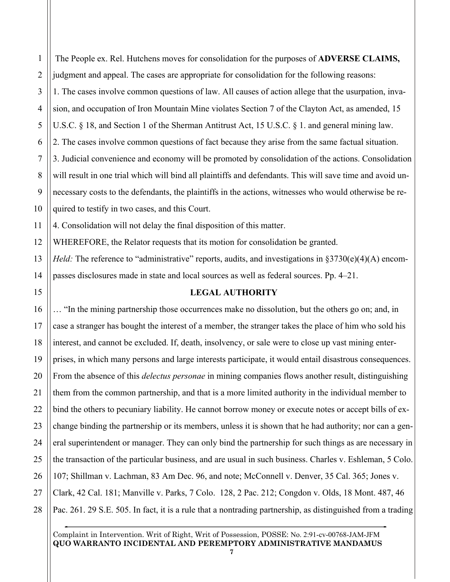1 2 The People ex. Rel. Hutchens moves for consolidation for the purposes of **ADVERSE CLAIMS,** judgment and appeal. The cases are appropriate for consolidation for the following reasons: 1. The cases involve common questions of law. All causes of action allege that the usurpation, invasion, and occupation of Iron Mountain Mine violates Section 7 of the Clayton Act, as amended, 15 U.S.C. § 18, and Section 1 of the Sherman Antitrust Act, 15 U.S.C. § 1. and general mining law. 2. The cases involve common questions of fact because they arise from the same factual situation. 3. Judicial convenience and economy will be promoted by consolidation of the actions. Consolidation will result in one trial which will bind all plaintiffs and defendants. This will save time and avoid unnecessary costs to the defendants, the plaintiffs in the actions, witnesses who would otherwise be required to testify in two cases, and this Court.

4. Consolidation will not delay the final disposition of this matter.

WHEREFORE, the Relator requests that its motion for consolidation be granted.

*Held:* The reference to "administrative" reports, audits, and investigations in §3730(e)(4)(A) encompasses disclosures made in state and local sources as well as federal sources. Pp. 4–21.

## **LEGAL AUTHORITY**

… "In the mining partnership those occurrences make no dissolution, but the others go on; and, in case a stranger has bought the interest of a member, the stranger takes the place of him who sold his interest, and cannot be excluded. If, death, insolvency, or sale were to close up vast mining enterprises, in which many persons and large interests participate, it would entail disastrous consequences. From the absence of this *delectus personae* in mining companies flows another result, distinguishing them from the common partnership, and that is a more limited authority in the individual member to bind the others to pecuniary liability. He cannot borrow money or execute notes or accept bills of exchange binding the partnership or its members, unless it is shown that he had authority; nor can a general superintendent or manager. They can only bind the partnership for such things as are necessary in the transaction of the particular business, and are usual in such business. Charles v. Eshleman, 5 Colo. 107; Shillman v. Lachman, 83 Am Dec. 96, and note; McConnell v. Denver, 35 Cal. 365; Jones v. Clark, 42 Cal. 181; Manville v. Parks, 7 Colo. 128, 2 Pac. 212; Congdon v. Olds, 18 Mont. 487, 46 Pac. 261. 29 S.E. 505. In fact, it is a rule that a nontrading partnership, as distinguished from a trading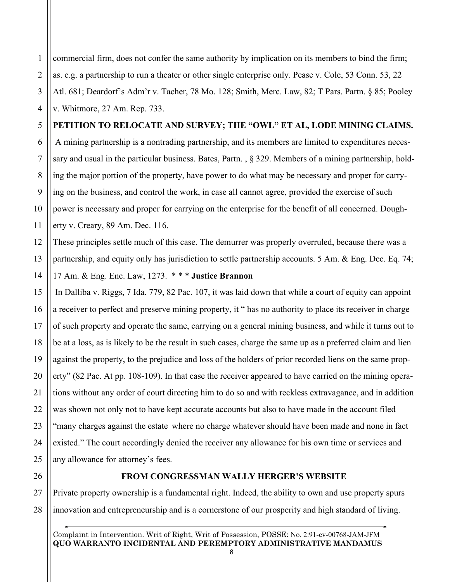commercial firm, does not confer the same authority by implication on its members to bind the firm; as. e.g. a partnership to run a theater or other single enterprise only. Pease v. Cole, 53 Conn. 53, 22 Atl. 681; Deardorf's Adm'r v. Tacher, 78 Mo. 128; Smith, Merc. Law, 82; T Pars. Partn. § 85; Pooley v. Whitmore, 27 Am. Rep. 733.

6 7 8 10 11 **PETITION TO RELOCATE AND SURVEY; THE "OWL" ET AL, LODE MINING CLAIMS.**  A mining partnership is a nontrading partnership, and its members are limited to expenditures necessary and usual in the particular business. Bates, Partn., § 329. Members of a mining partnership, holding the major portion of the property, have power to do what may be necessary and proper for carrying on the business, and control the work, in case all cannot agree, provided the exercise of such power is necessary and proper for carrying on the enterprise for the benefit of all concerned. Dougherty v. Creary, 89 Am. Dec. 116.

12 13 These principles settle much of this case. The demurrer was properly overruled, because there was a partnership, and equity only has jurisdiction to settle partnership accounts. 5 Am. & Eng. Dec. Eq. 74;

17 Am. & Eng. Enc. Law, 1273. \* \* \* **Justice Brannon**

 In Dalliba v. Riggs, 7 Ida. 779, 82 Pac. 107, it was laid down that while a court of equity can appoint a receiver to perfect and preserve mining property, it " has no authority to place its receiver in charge of such property and operate the same, carrying on a general mining business, and while it turns out to be at a loss, as is likely to be the result in such cases, charge the same up as a preferred claim and lien against the property, to the prejudice and loss of the holders of prior recorded liens on the same property" (82 Pac. At pp. 108-109). In that case the receiver appeared to have carried on the mining operations without any order of court directing him to do so and with reckless extravagance, and in addition was shown not only not to have kept accurate accounts but also to have made in the account filed "many charges against the estate where no charge whatever should have been made and none in fact existed." The court accordingly denied the receiver any allowance for his own time or services and any allowance for attorney's fees.

26

1

2

3

4

5

9

14

15

16

17

18

19

20

21

22

23

24

25

27

28

#### **FROM CONGRESSMAN WALLY HERGER'S WEBSITE**

Private property ownership is a fundamental right. Indeed, the ability to own and use property spurs innovation and entrepreneurship and is a cornerstone of our prosperity and high standard of living.

Complaint in Intervention. Writ of Right, Writ of Possession, POSSE: No. 2:91-cv-00768-JAM-JFM **QUO WARRANTO INCIDENTAL AND PEREMPTORY ADMINISTRATIVE MANDAMUS** 

**8**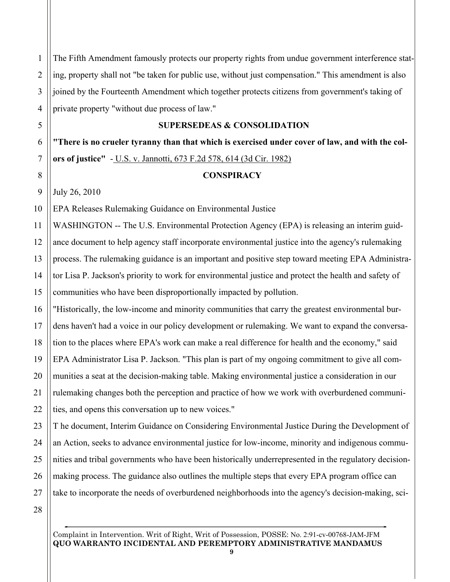1 2 3 4 The Fifth Amendment famously protects our property rights from undue government interference stating, property shall not "be taken for public use, without just compensation." This amendment is also joined by the Fourteenth Amendment which together protects citizens from government's taking of private property "without due process of law."

#### **SUPERSEDEAS & CONSOLIDATION**

**"There is no crueler tyranny than that which is exercised under cover of law, and with the colors of justice"** - U.S. v. Jannotti, 673 F.2d 578, 614 (3d Cir. 1982)

#### **CONSPIRACY**

July 26, 2010

5

6

7

8

9

10 EPA Releases Rulemaking Guidance on Environmental Justice

11 12 13 14 15 WASHINGTON -- The U.S. Environmental Protection Agency (EPA) is releasing an interim guidance document to help agency staff incorporate environmental justice into the agency's rulemaking process. The rulemaking guidance is an important and positive step toward meeting EPA Administrator Lisa P. Jackson's priority to work for environmental justice and protect the health and safety of communities who have been disproportionally impacted by pollution.

16 17 18 19 20 21 22 "Historically, the low-income and minority communities that carry the greatest environmental burdens haven't had a voice in our policy development or rulemaking. We want to expand the conversation to the places where EPA's work can make a real difference for health and the economy," said EPA Administrator Lisa P. Jackson. "This plan is part of my ongoing commitment to give all communities a seat at the decision-making table. Making environmental justice a consideration in our rulemaking changes both the perception and practice of how we work with overburdened communities, and opens this conversation up to new voices."

23 24 25 26 27 T he document, Interim Guidance on Considering Environmental Justice During the Development of an Action, seeks to advance environmental justice for low-income, minority and indigenous communities and tribal governments who have been historically underrepresented in the regulatory decisionmaking process. The guidance also outlines the multiple steps that every EPA program office can take to incorporate the needs of overburdened neighborhoods into the agency's decision-making, sci-

28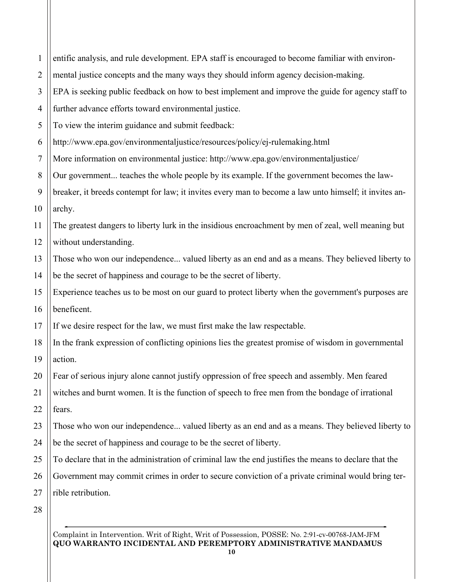1 2 3 4 5 6 7 8 9 10 11 12 13 14 15 16 17 18 19 20 21 22 23 24 25 26 27 28 entific analysis, and rule development. EPA staff is encouraged to become familiar with environmental justice concepts and the many ways they should inform agency decision-making. EPA is seeking public feedback on how to best implement and improve the guide for agency staff to further advance efforts toward environmental justice. To view the interim guidance and submit feedback: <http://www.epa.gov/environmentaljustice/resources/policy/ej-rulemaking.html> More information on environmental justice: <http://www.epa.gov/environmentaljustice/> Our government... teaches the whole people by its example. If the government becomes the lawbreaker, it breeds contempt for law; it invites every man to become a law unto himself; it invites anarchy. The greatest dangers to liberty lurk in the insidious encroachment by men of zeal, well meaning but without understanding. Those who won our independence... valued liberty as an end and as a means. They believed liberty to be the secret of happiness and courage to be the secret of liberty. Experience teaches us to be most on our guard to protect liberty when the government's purposes are beneficent. If we desire respect for the law, we must first make the law respectable. In the frank expression of conflicting opinions lies the greatest promise of wisdom in governmental action. Fear of serious injury alone cannot justify oppression of free speech and assembly. Men feared witches and burnt women. It is the function of speech to free men from the bondage of irrational fears. Those who won our independence... valued liberty as an end and as a means. They believed liberty to be the secret of happiness and courage to be the secret of liberty. To declare that in the administration of criminal law the end justifies the means to declare that the Government may commit crimes in order to secure conviction of a private criminal would bring terrible retribution.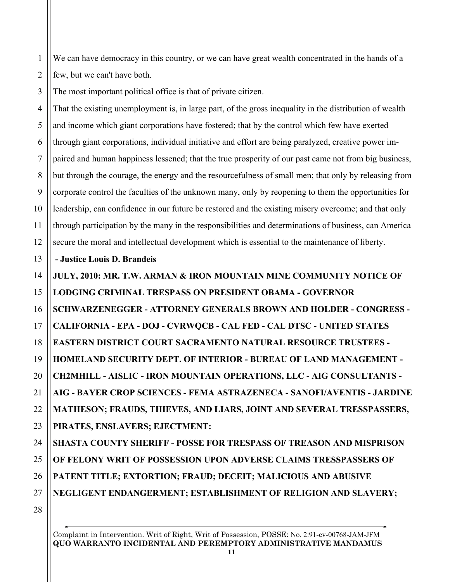1 2 We can have democracy in this country, or we can have great wealth concentrated in the hands of a few, but we can't have both.

3 The most important political office is that of private citizen.

4 5 6 7 8 9 10 11 12 That the existing unemployment is, in large part, of the gross inequality in the distribution of wealth and income which giant corporations have fostered; that by the control which few have exerted through giant corporations, individual initiative and effort are being paralyzed, creative power impaired and human happiness lessened; that the true prosperity of our past came not from big business, but through the courage, the energy and the resourcefulness of small men; that only by releasing from corporate control the faculties of the unknown many, only by reopening to them the opportunities for leadership, can confidence in our future be restored and the existing misery overcome; and that only through participation by the many in the responsibilities and determinations of business, can America secure the moral and intellectual development which is essential to the maintenance of liberty.

 **- Justice Louis D. Brandeis** 

14 16 **JULY, 2010: MR. T.W. ARMAN & IRON MOUNTAIN MINE COMMUNITY NOTICE OF LODGING CRIMINAL TRESPASS ON PRESIDENT OBAMA - GOVERNOR SCHWARZENEGGER - ATTORNEY GENERALS BROWN AND HOLDER - CONGRESS - CALIFORNIA - EPA - DOJ - CVRWQCB - CAL FED - CAL DTSC - UNITED STATES EASTERN DISTRICT COURT SACRAMENTO NATURAL RESOURCE TRUSTEES - HOMELAND SECURITY DEPT. OF INTERIOR - BUREAU OF LAND MANAGEMENT - CH2MHILL - AISLIC - IRON MOUNTAIN OPERATIONS, LLC - AIG CONSULTANTS - AIG - BAYER CROP SCIENCES - FEMA ASTRAZENECA - SANOFI/AVENTIS - JARDINE MATHESON; FRAUDS, THIEVES, AND LIARS, JOINT AND SEVERAL TRESSPASSERS, PIRATES, ENSLAVERS; EJECTMENT:** 

24 25 26 27 **SHASTA COUNTY SHERIFF - POSSE FOR TRESPASS OF TREASON AND MISPRISON OF FELONY WRIT OF POSSESSION UPON ADVERSE CLAIMS TRESSPASSERS OF PATENT TITLE; EXTORTION; FRAUD; DECEIT; MALICIOUS AND ABUSIVE NEGLIGENT ENDANGERMENT; ESTABLISHMENT OF RELIGION AND SLAVERY;** 

28

13

15

17

18

19

20

21

22

23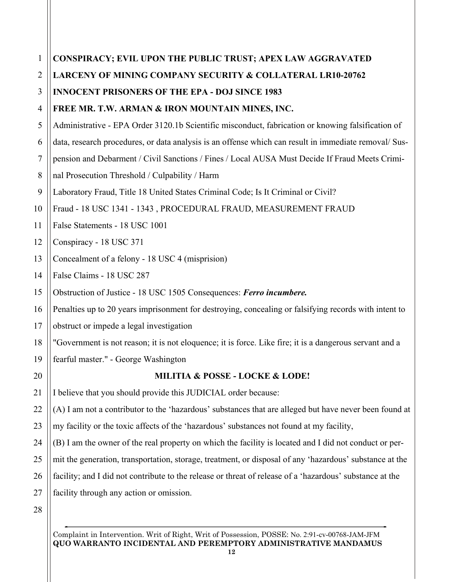| $\mathbf{1}$   | <b>CONSPIRACY; EVIL UPON THE PUBLIC TRUST; APEX LAW AGGRAVATED</b>                                       |
|----------------|----------------------------------------------------------------------------------------------------------|
| $\overline{2}$ | <b>LARCENY OF MINING COMPANY SECURITY &amp; COLLATERAL LR10-20762</b>                                    |
| 3              | <b>INNOCENT PRISONERS OF THE EPA - DOJ SINCE 1983</b>                                                    |
| 4              | FREE MR. T.W. ARMAN & IRON MOUNTAIN MINES, INC.                                                          |
| 5              | Administrative - EPA Order 3120.1b Scientific misconduct, fabrication or knowing falsification of        |
| 6              | data, research procedures, or data analysis is an offense which can result in immediate removal/ Sus-    |
| 7              | pension and Debarment / Civil Sanctions / Fines / Local AUSA Must Decide If Fraud Meets Crimi-           |
| 8              | nal Prosecution Threshold / Culpability / Harm                                                           |
| 9              | Laboratory Fraud, Title 18 United States Criminal Code; Is It Criminal or Civil?                         |
| 10             | Fraud - 18 USC 1341 - 1343, PROCEDURAL FRAUD, MEASUREMENT FRAUD                                          |
| 11             | False Statements - 18 USC 1001                                                                           |
| 12             | Conspiracy - 18 USC 371                                                                                  |
| 13             | Concealment of a felony - 18 USC 4 (misprision)                                                          |
| 14             | False Claims - 18 USC 287                                                                                |
| 15             | Obstruction of Justice - 18 USC 1505 Consequences: Ferro incumbere.                                      |
| 16             | Penalties up to 20 years imprisonment for destroying, concealing or falsifying records with intent to    |
| 17             | obstruct or impede a legal investigation                                                                 |
| 18             | "Government is not reason; it is not eloquence; it is force. Like fire; it is a dangerous servant and a  |
| 19             | fearful master." - George Washington                                                                     |
| 20             | <b>MILITIA &amp; POSSE - LOCKE &amp; LODE!</b>                                                           |
| 21             | I believe that you should provide this JUDICIAL order because:                                           |
| 22             | (A) I am not a contributor to the 'hazardous' substances that are alleged but have never been found at   |
| 23             | my facility or the toxic affects of the 'hazardous' substances not found at my facility,                 |
| 24             | (B) I am the owner of the real property on which the facility is located and I did not conduct or per-   |
| 25             | mit the generation, transportation, storage, treatment, or disposal of any 'hazardous' substance at the  |
| 26             | facility; and I did not contribute to the release or threat of release of a 'hazardous' substance at the |
| 27             | facility through any action or omission.                                                                 |
| 28             |                                                                                                          |
|                |                                                                                                          |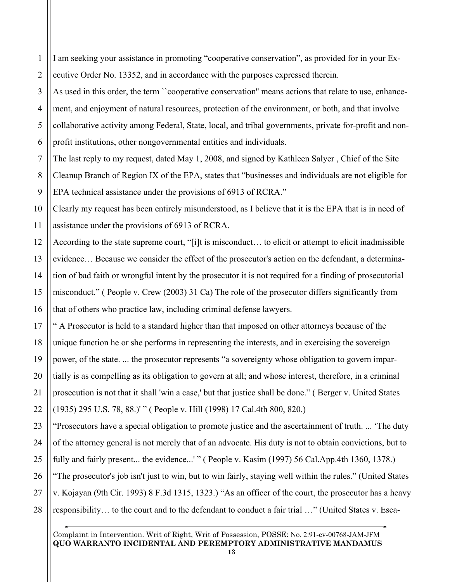1 I am seeking your assistance in promoting "cooperative conservation", as provided for in your Executive Order No. 13352, and in accordance with the purposes expressed therein.

As used in this order, the term ``cooperative conservation'' means actions that relate to use, enhancement, and enjoyment of natural resources, protection of the environment, or both, and that involve collaborative activity among Federal, State, local, and tribal governments, private for-profit and nonprofit institutions, other nongovernmental entities and individuals.

The last reply to my request, dated May 1, 2008, and signed by Kathleen Salyer , Chief of the Site Cleanup Branch of Region IX of the EPA, states that "businesses and individuals are not eligible for EPA technical assistance under the provisions of 6913 of RCRA."

Clearly my request has been entirely misunderstood, as I believe that it is the EPA that is in need of assistance under the provisions of 6913 of RCRA.

According to the state supreme court, "[i]t is misconduct… to elicit or attempt to elicit inadmissible evidence… Because we consider the effect of the prosecutor's action on the defendant, a determination of bad faith or wrongful intent by the prosecutor it is not required for a finding of prosecutorial misconduct." ( People v. Crew (2003) 31 Ca) The role of the prosecutor differs significantly from that of others who practice law, including criminal defense lawyers.

" A Prosecutor is held to a standard higher than that imposed on other attorneys because of the unique function he or she performs in representing the interests, and in exercising the sovereign power, of the state. ... the prosecutor represents "a sovereignty whose obligation to govern impartially is as compelling as its obligation to govern at all; and whose interest, therefore, in a criminal prosecution is not that it shall 'win a case,' but that justice shall be done." ( Berger v. United States (1935) 295 U.S. 78, 88.)' " ( People v. Hill (1998) 17 Cal.4th 800, 820.)

"Prosecutors have a special obligation to promote justice and the ascertainment of truth. ... 'The duty of the attorney general is not merely that of an advocate. His duty is not to obtain convictions, but to fully and fairly present... the evidence...' " (People v. Kasim (1997) 56 Cal.App.4th 1360, 1378.) "The prosecutor's job isn't just to win, but to win fairly, staying well within the rules." (United States v. Kojayan (9th Cir. 1993) 8 F.3d 1315, 1323.) "As an officer of the court, the prosecutor has a heavy responsibility… to the court and to the defendant to conduct a fair trial …" (United States v. Esca-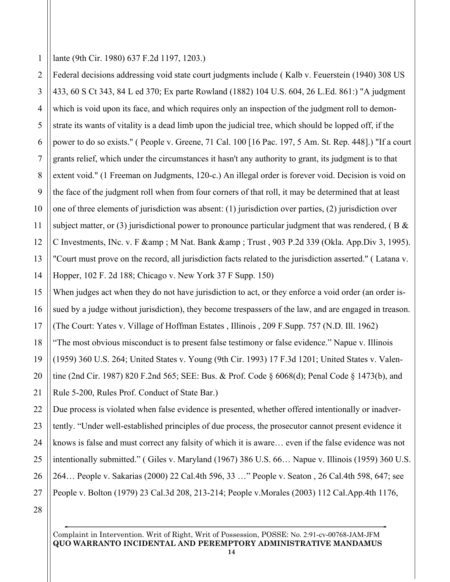1 lante (9th Cir. 1980) 637 F.2d 1197, 1203.)

2 3 4 5 6 7 8 9 10 11 12 13 14 Federal decisions addressing void state court judgments include ( Kalb v. Feuerstein (1940) 308 US 433, 60 S Ct 343, 84 L ed 370; Ex parte Rowland (1882) 104 U.S. 604, 26 L.Ed. 861:) "A judgment which is void upon its face, and which requires only an inspection of the judgment roll to demonstrate its wants of vitality is a dead limb upon the judicial tree, which should be lopped off, if the power to do so exists." ( People v. Greene, 71 Cal. 100 [16 Pac. 197, 5 Am. St. Rep. 448].) "If a court grants relief, which under the circumstances it hasn't any authority to grant, its judgment is to that extent void." (1 Freeman on Judgments, 120-c.) An illegal order is forever void. Decision is void on the face of the judgment roll when from four corners of that roll, it may be determined that at least one of three elements of jurisdiction was absent: (1) jurisdiction over parties, (2) jurisdiction over subject matter, or (3) jurisdictional power to pronounce particular judgment that was rendered, ( B  $\&$ C Investments, INc. v. F  $\&; M$  Nat. Bank  $\&; Trust$ , 903 P.2d 339 (Okla. App.Div 3, 1995). "Court must prove on the record, all jurisdiction facts related to the jurisdiction asserted." ( Latana v. Hopper, 102 F. 2d 188; Chicago v. New York 37 F Supp. 150)

15 16 17 18 19 20 When judges act when they do not have jurisdiction to act, or they enforce a void order (an order issued by a judge without jurisdiction), they become trespassers of the law, and are engaged in treason. (The Court: Yates v. Village of Hoffman Estates , Illinois , 209 F.Supp. 757 (N.D. Ill. 1962) "The most obvious misconduct is to present false testimony or false evidence." Napue v. Illinois (1959) 360 U.S. 264; United States v. Young (9th Cir. 1993) 17 F.3d 1201; United States v. Valentine (2nd Cir. 1987) 820 F.2nd 565; SEE: Bus. & Prof. Code § 6068(d); Penal Code § 1473(b), and Rule 5-200, Rules Prof. Conduct of State Bar.)

Due process is violated when false evidence is presented, whether offered intentionally or inadvertently. "Under well-established principles of due process, the prosecutor cannot present evidence it knows is false and must correct any falsity of which it is aware… even if the false evidence was not intentionally submitted." ( Giles v. Maryland (1967) 386 U.S. 66… Napue v. Illinois (1959) 360 U.S. 264… People v. Sakarias (2000) 22 Cal.4th 596, 33 …" People v. Seaton , 26 Cal.4th 598, 647; see People v. Bolton (1979) 23 Cal.3d 208, 213-214; People v.Morales (2003) 112 Cal.App.4th 1176,

28

21

22

23

24

25

26

27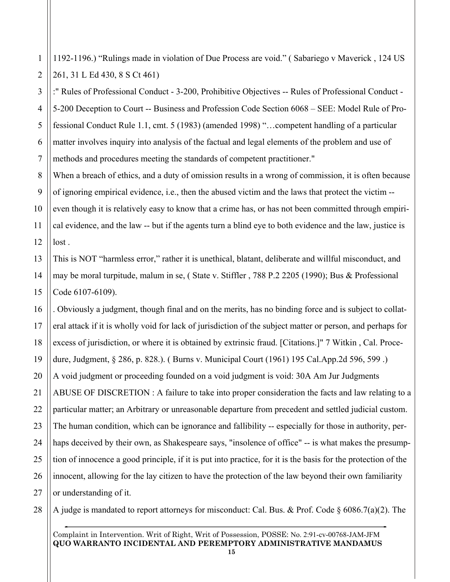1 2 1192-1196.) "Rulings made in violation of Due Process are void." ( Sabariego v Maverick , 124 US 261, 31 L Ed 430, 8 S Ct 461)

3 4 5 6 7 :" Rules of Professional Conduct - 3-200, Prohibitive Objectives -- Rules of Professional Conduct - 5-200 Deception to Court -- Business and Profession Code Section 6068 – SEE: Model Rule of Professional Conduct Rule 1.1, cmt. 5 (1983) (amended 1998) "…competent handling of a particular matter involves inquiry into analysis of the factual and legal elements of the problem and use of methods and procedures meeting the standards of competent practitioner."

8 10 11 12 When a breach of ethics, and a duty of omission results in a wrong of commission, it is often because of ignoring empirical evidence, i.e., then the abused victim and the laws that protect the victim - even though it is relatively easy to know that a crime has, or has not been committed through empirical evidence, and the law -- but if the agents turn a blind eye to both evidence and the law, justice is lost .

9

13

14

15

This is NOT "harmless error," rather it is unethical, blatant, deliberate and willful misconduct, and may be moral turpitude, malum in se, ( State v. Stiffler , 788 P.2 2205 (1990); Bus & Professional Code 6107-6109).

16 17 18 19 20 21 22 23 24 25 26 27 . Obviously a judgment, though final and on the merits, has no binding force and is subject to collateral attack if it is wholly void for lack of jurisdiction of the subject matter or person, and perhaps for excess of jurisdiction, or where it is obtained by extrinsic fraud. [Citations.]" 7 Witkin , Cal. Procedure, Judgment, § 286, p. 828.). ( Burns v. Municipal Court (1961) 195 Cal.App.2d 596, 599 .) A void judgment or proceeding founded on a void judgment is void: 30A Am Jur Judgments ABUSE OF DISCRETION : A failure to take into proper consideration the facts and law relating to a particular matter; an Arbitrary or unreasonable departure from precedent and settled judicial custom. The human condition, which can be ignorance and fallibility -- especially for those in authority, perhaps deceived by their own, as Shakespeare says, "insolence of office" -- is what makes the presumption of innocence a good principle, if it is put into practice, for it is the basis for the protection of the innocent, allowing for the lay citizen to have the protection of the law beyond their own familiarity or understanding of it.

28 A judge is mandated to report attorneys for misconduct: Cal. Bus. & Prof. Code § 6086.7(a)(2). The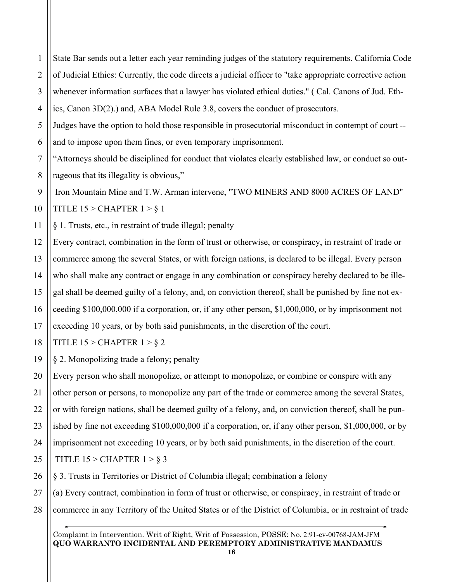1 State Bar sends out a letter each year reminding judges of the statutory requirements. California Code of Judicial Ethics: Currently, the code directs a judicial officer to "take appropriate corrective action whenever information surfaces that a lawyer has violated ethical duties." ( Cal. Canons of Jud. Ethics, Canon 3D(2).) and, ABA Model Rule 3.8, covers the conduct of prosecutors.

Judges have the option to hold those responsible in prosecutorial misconduct in contempt of court - and to impose upon them fines, or even temporary imprisonment.

"Attorneys should be disciplined for conduct that violates clearly established law, or conduct so outrageous that its illegality is obvious,"

 I[ron Mountain Mine and T.W. Arman intervene, "TWO MINERS AND 8000 ACRES OF LAND"](http://www.ironmountainmine.com/INTERVENTION_BY_MORMAER.pdf)  TITLE  $15 >$  CHAPTER  $1 > \S 1$ 

§ 1. Trusts, etc., in restraint of trade illegal; penalty

Every contract, combination in the form of trust or otherwise, or conspiracy, in restraint of trade or commerce among the several States, or with foreign nations, is declared to be illegal. Every person who shall make any contract or engage in any combination or conspiracy hereby declared to be illegal shall be deemed guilty of a felony, and, on conviction thereof, shall be punished by fine not exceeding \$100,000,000 if a corporation, or, if any other person, \$1,000,000, or by imprisonment not exceeding 10 years, or by both said punishments, in the discretion of the court.

TITLE  $15 >$  CHAPTER  $1 > \S 2$ 

§ 2. Monopolizing trade a felony; penalty

Every person who shall monopolize, or attempt to monopolize, or combine or conspire with any other person or persons, to monopolize any part of the trade or commerce among the several States, or with foreign nations, shall be deemed guilty of a felony, and, on conviction thereof, shall be punished by fine not exceeding \$100,000,000 if a corporation, or, if any other person, \$1,000,000, or by imprisonment not exceeding 10 years, or by both said punishments, in the discretion of the court.

TITLE  $15 >$  CHAPTER  $1 > \frac{6}{9}$  3

§ 3. Trusts in Territories or District of Columbia illegal; combination a felony

(a) Every contract, combination in form of trust or otherwise, or conspiracy, in restraint of trade or commerce in any Territory of the United States or of the District of Columbia, or in restraint of trade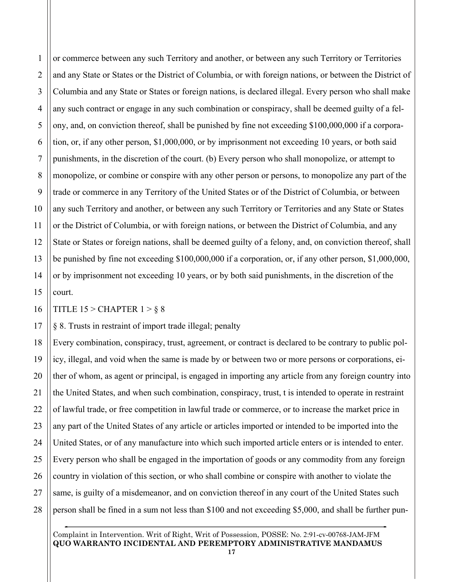2 or commerce between any such Territory and another, or between any such Territory or Territories and any State or States or the District of Columbia, or with foreign nations, or between the District of Columbia and any State or States or foreign nations, is declared illegal. Every person who shall make any such contract or engage in any such combination or conspiracy, shall be deemed guilty of a felony, and, on conviction thereof, shall be punished by fine not exceeding \$100,000,000 if a corporation, or, if any other person, \$1,000,000, or by imprisonment not exceeding 10 years, or both said punishments, in the discretion of the court. (b) Every person who shall monopolize, or attempt to monopolize, or combine or conspire with any other person or persons, to monopolize any part of the trade or commerce in any Territory of the United States or of the District of Columbia, or between any such Territory and another, or between any such Territory or Territories and any State or States or the District of Columbia, or with foreign nations, or between the District of Columbia, and any State or States or foreign nations, shall be deemed guilty of a felony, and, on conviction thereof, shall be punished by fine not exceeding \$100,000,000 if a corporation, or, if any other person, \$1,000,000, or by imprisonment not exceeding 10 years, or by both said punishments, in the discretion of the court.

TITLE  $15 >$  CHAPTER  $1 > \S$  8

§ 8. Trusts in restraint of import trade illegal; penalty

Every combination, conspiracy, trust, agreement, or contract is declared to be contrary to public policy, illegal, and void when the same is made by or between two or more persons or corporations, either of whom, as agent or principal, is engaged in importing any article from any foreign country into the United States, and when such combination, conspiracy, trust, t is intended to operate in restraint of lawful trade, or free competition in lawful trade or commerce, or to increase the market price in any part of the United States of any article or articles imported or intended to be imported into the United States, or of any manufacture into which such imported article enters or is intended to enter. Every person who shall be engaged in the importation of goods or any commodity from any foreign country in violation of this section, or who shall combine or conspire with another to violate the same, is guilty of a misdemeanor, and on conviction thereof in any court of the United States such person shall be fined in a sum not less than \$100 and not exceeding \$5,000, and shall be further pun-

Complaint in Intervention. Writ of Right, Writ of Possession, POSSE: No. 2:91-cv-00768-JAM-JFM **QUO WARRANTO INCIDENTAL AND PEREMPTORY ADMINISTRATIVE MANDAMUS 17**

1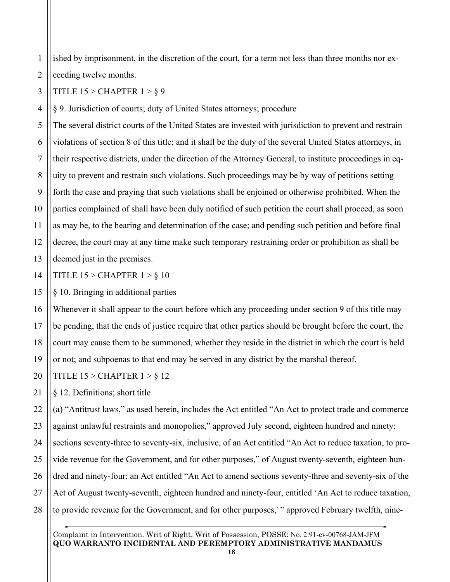1 2 ished by imprisonment, in the discretion of the court, for a term not less than three months nor exceeding twelve months.

3 TITLE  $15 >$  CHAPTER  $1 > \S 9$ 

§ 9. Jurisdiction of courts; duty of United States attorneys; procedure

The several district courts of the United States are invested with jurisdiction to prevent and restrain violations of section [8](http://www.law.cornell.edu/uscode/html/uscode15/usc_sec_15_00000008----000-.html) of this title; and it shall be the duty of the several United States attorneys, in their respective districts, under the direction of the Attorney General, to institute proceedings in equity to prevent and restrain such violations. Such proceedings may be by way of petitions setting forth the case and praying that such violations shall be enjoined or otherwise prohibited. When the parties complained of shall have been duly notified of such petition the court shall proceed, as soon as may be, to the hearing and determination of the case; and pending such petition and before final decree, the court may at any time make such temporary restraining order or prohibition as shall be deemed just in the premises.

TITLE  $15 >$  CHAPTER  $1 > \S 10$ 

§ 10. Bringing in additional parties

Whenever it shall appear to the court before which any proceeding under section [9](http://www.law.cornell.edu/uscode/html/uscode15/usc_sec_15_00000009----000-.html) of this title may be pending, that the ends of justice require that other parties should be brought before the court, the court may cause them to be summoned, whether they reside in the district in which the court is held or not; and subpoenas to that end may be served in any district by the marshal thereof.

TITLE  $15 >$  CHAPTER  $1 > \S 12$ 

§ 12. Definitions; short title

(a) "Antitrust laws," as used herein, includes the Act entitled "An Act to protect trade and commerce against unlawful restraints and monopolies," approved July second, eighteen hundred and ninety; sections seventy-three to seventy-six, inclusive, of an Act entitled "An Act to reduce taxation, to provide revenue for the Government, and for other purposes," of August twenty-seventh, eighteen hundred and ninety-four; an Act entitled "An Act to amend sections seventy-three and seventy-six of the Act of August twenty-seventh, eighteen hundred and ninety-four, entitled 'An Act to reduce taxation, to provide revenue for the Government, and for other purposes,' " approved February twelfth, nine-

Complaint in Intervention. Writ of Right, Writ of Possession, POSSE: No. 2:91-cv-00768-JAM-JFM **QUO WARRANTO INCIDENTAL AND PEREMPTORY ADMINISTRATIVE MANDAMUS** 

4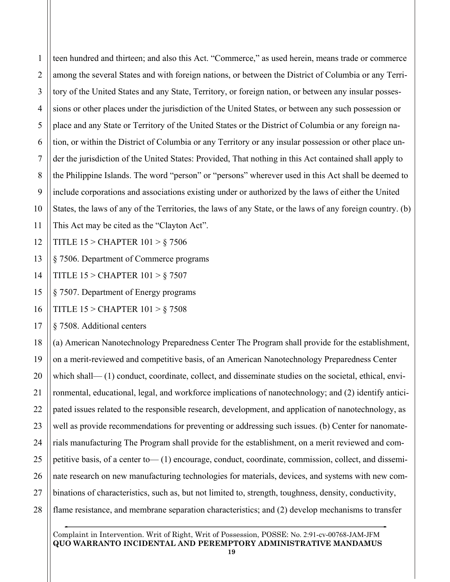2 3 4 5 6 7 8 9 10 11 teen hundred and thirteen; and also this Act. "Commerce," as used herein, means trade or commerce among the several States and with foreign nations, or between the District of Columbia or any Territory of the United States and any State, Territory, or foreign nation, or between any insular possessions or other places under the jurisdiction of the United States, or between any such possession or place and any State or Territory of the United States or the District of Columbia or any foreign nation, or within the District of Columbia or any Territory or any insular possession or other place under the jurisdiction of the United States: Provided, That nothing in this Act contained shall apply to the Philippine Islands. The word "person" or "persons" wherever used in this Act shall be deemed to include corporations and associations existing under or authorized by the laws of either the United States, the laws of any of the Territories, the laws of any State, or the laws of any foreign country. (b) This Act may be cited as the "Clayton Act".

12 [TITLE 15 > CHAPTER 101 > § 7506](http://www.law.cornell.edu/uscode/html/uscode15/usc_sup_01_15.html) 

13 § 7506. Department of Commerce programs

14 [TITLE 15 > CHAPTER 101 > § 7507](http://www.law.cornell.edu/uscode/html/uscode15/usc_sup_01_15.html) 

§ 7507. Department of Energy programs

[TITLE 15 > CHAPTER 101 > § 7508](http://www.law.cornell.edu/uscode/html/uscode15/usc_sup_01_15.html) 

§ 7508. Additional centers

18 19 20 21 22 23 24 25 26 27 (a) American Nanotechnology Preparedness Center The Program shall provide for the establishment, on a merit-reviewed and competitive basis, of an American Nanotechnology Preparedness Center which shall— (1) conduct, coordinate, collect, and disseminate studies on the societal, ethical, environmental, educational, legal, and workforce implications of nanotechnology; and (2) identify anticipated issues related to the responsible research, development, and application of nanotechnology, as well as provide recommendations for preventing or addressing such issues. (b) Center for nanomaterials manufacturing The Program shall provide for the establishment, on a merit reviewed and competitive basis, of a center to— (1) encourage, conduct, coordinate, commission, collect, and disseminate research on new manufacturing technologies for materials, devices, and systems with new combinations of characteristics, such as, but not limited to, strength, toughness, density, conductivity, flame resistance, and membrane separation characteristics; and (2) develop mechanisms to transfer

28

15

16

17

1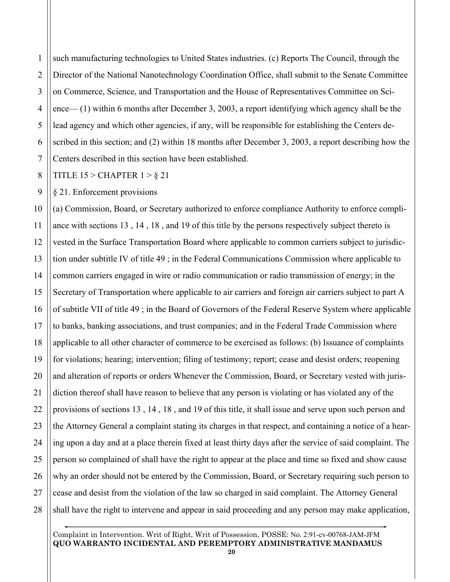1 2 3 4 5 6 7 such manufacturing technologies to United States industries. (c) Reports The Council, through the Director of the National Nanotechnology Coordination Office, shall submit to the Senate Committee on Commerce, Science, and Transportation and the House of Representatives Committee on Science— (1) within 6 months after December 3, 2003, a report identifying which agency shall be the lead agency and which other agencies, if any, will be responsible for establishing the Centers described in this section; and (2) within 18 months after December 3, 2003, a report describing how the Centers described in this section have been established.

TITLE  $15 >$  CHAPTER  $1 > \frac{6}{5}$  21

§ 21. Enforcement provisions

8

9

10 11 12 13 14 15 16 17 18 19 20 21 22 23 24 25 26 27 28 (a) Commission, Board, or Secretary authorized to enforce compliance Authority to enforce compliance with sections [13 ,](http://www.law.cornell.edu/uscode/html/uscode15/usc_sec_15_00000013----000-.html) [14 ,](http://www.law.cornell.edu/uscode/html/uscode15/usc_sec_15_00000014----000-.html) [18 ,](http://www.law.cornell.edu/uscode/html/uscode15/usc_sec_15_00000018----000-.html) and [19](http://www.law.cornell.edu/uscode/html/uscode15/usc_sec_15_00000019----000-.html) of this title by the persons respectively subject thereto is vested in the Surface Transportation Board where applicable to common carriers subject to jurisdiction under subtitle [IV o](http://www.law.cornell.edu/uscode/html/uscode49/usc_sup_01_49_10_IV.html)f title [49 ;](http://www.law.cornell.edu/uscode/html/uscode49/usc_sup_01_49.html) in the Federal Communications Commission where applicable to common carriers engaged in wire or radio communication or radio transmission of energy; in the Secretary of Transportation where applicable to air carriers and foreign air carriers subject to part [A](http://www.law.cornell.edu/uscode/html/uscode49/usc_sup_01_49_10_VII_20_A.html)  of subtitle [VII o](http://www.law.cornell.edu/uscode/html/uscode49/usc_sup_01_49_10_VII.html)f title [49 ;](http://www.law.cornell.edu/uscode/html/uscode49/usc_sup_01_49.html) in the Board of Governors of the Federal Reserve System where applicable to banks, banking associations, and trust companies; and in the Federal Trade Commission where applicable to all other character of commerce to be exercised as follows: (b) Issuance of complaints for violations; hearing; intervention; filing of testimony; report; cease and desist orders; reopening and alteration of reports or orders Whenever the Commission, Board, or Secretary vested with jurisdiction thereof shall have reason to believe that any person is violating or has violated any of the provisions of sections [13 ,](http://www.law.cornell.edu/uscode/html/uscode15/usc_sec_15_00000013----000-.html) [14 ,](http://www.law.cornell.edu/uscode/html/uscode15/usc_sec_15_00000014----000-.html) [18 ,](http://www.law.cornell.edu/uscode/html/uscode15/usc_sec_15_00000018----000-.html) and [19 o](http://www.law.cornell.edu/uscode/html/uscode15/usc_sec_15_00000019----000-.html)f this title, it shall issue and serve upon such person and the Attorney General a complaint stating its charges in that respect, and containing a notice of a hearing upon a day and at a place therein fixed at least thirty days after the service of said complaint. The person so complained of shall have the right to appear at the place and time so fixed and show cause why an order should not be entered by the Commission, Board, or Secretary requiring such person to cease and desist from the violation of the law so charged in said complaint. The Attorney General shall have the right to intervene and appear in said proceeding and any person may make application,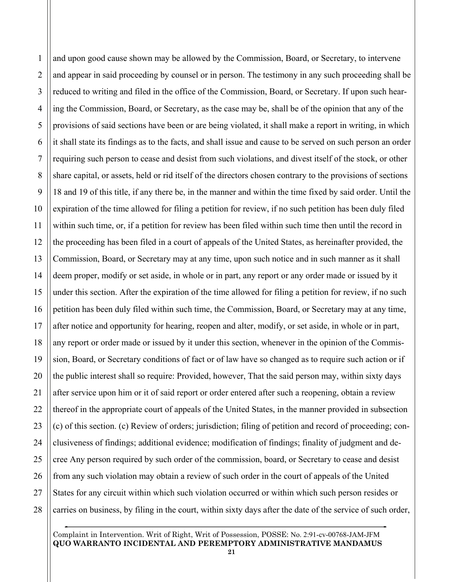1 2 3 4 5 6 7 8 9 10 11 12 13 14 15 16 17 18 19 20 21 22 23 24 25 26 27 28 and upon good cause shown may be allowed by the Commission, Board, or Secretary, to intervene and appear in said proceeding by counsel or in person. The testimony in any such proceeding shall be reduced to writing and filed in the office of the Commission, Board, or Secretary. If upon such hearing the Commission, Board, or Secretary, as the case may be, shall be of the opinion that any of the provisions of said sections have been or are being violated, it shall make a report in writing, in which it shall state its findings as to the facts, and shall issue and cause to be served on such person an order requiring such person to cease and desist from such violations, and divest itself of the stock, or other share capital, or assets, held or rid itself of the directors chosen contrary to the provisions of sections [18](http://www.law.cornell.edu/uscode/html/uscode15/usc_sec_15_00000018----000-.html) and [19](http://www.law.cornell.edu/uscode/html/uscode15/usc_sec_15_00000019----000-.html) of this title, if any there be, in the manner and within the time fixed by said order. Until the expiration of the time allowed for filing a petition for review, if no such petition has been duly filed within such time, or, if a petition for review has been filed within such time then until the record in the proceeding has been filed in a court of appeals of the United States, as hereinafter provided, the Commission, Board, or Secretary may at any time, upon such notice and in such manner as it shall deem proper, modify or set aside, in whole or in part, any report or any order made or issued by it under this section. After the expiration of the time allowed for filing a petition for review, if no such petition has been duly filed within such time, the Commission, Board, or Secretary may at any time, after notice and opportunity for hearing, reopen and alter, modify, or set aside, in whole or in part, any report or order made or issued by it under this section, whenever in the opinion of the Commission, Board, or Secretary conditions of fact or of law have so changed as to require such action or if the public interest shall so require: Provided, however, That the said person may, within sixty days after service upon him or it of said report or order entered after such a reopening, obtain a review thereof in the appropriate court of appeals of the United States, in the manner provided in subsection (c) of this section. (c) Review of orders; jurisdiction; filing of petition and record of proceeding; conclusiveness of findings; additional evidence; modification of findings; finality of judgment and decree Any person required by such order of the commission, board, or Secretary to cease and desist from any such violation may obtain a review of such order in the court of appeals of the United States for any circuit within which such violation occurred or within which such person resides or carries on business, by filing in the court, within sixty days after the date of the service of such order,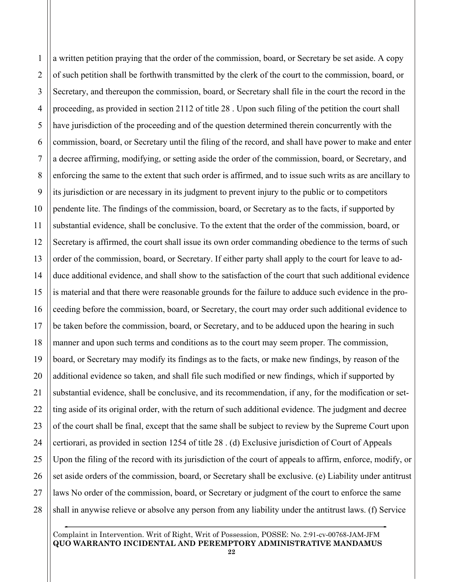1 2 3 4 5 6 7 8 9 10 11 12 13 14 15 16 17 18 19 20 21 22 23 24 25 26 27 28 a written petition praying that the order of the commission, board, or Secretary be set aside. A copy of such petition shall be forthwith transmitted by the clerk of the court to the commission, board, or Secretary, and thereupon the commission, board, or Secretary shall file in the court the record in the proceeding, as provided in section [2112](http://www.law.cornell.edu/uscode/html/uscode28/usc_sec_28_00002112----000-.html) of title [28 .](http://www.law.cornell.edu/uscode/html/uscode28/usc_sup_01_28.html) Upon such filing of the petition the court shall have jurisdiction of the proceeding and of the question determined therein concurrently with the commission, board, or Secretary until the filing of the record, and shall have power to make and enter a decree affirming, modifying, or setting aside the order of the commission, board, or Secretary, and enforcing the same to the extent that such order is affirmed, and to issue such writs as are ancillary to its jurisdiction or are necessary in its judgment to prevent injury to the public or to competitors pendente lite. The findings of the commission, board, or Secretary as to the facts, if supported by substantial evidence, shall be conclusive. To the extent that the order of the commission, board, or Secretary is affirmed, the court shall issue its own order commanding obedience to the terms of such order of the commission, board, or Secretary. If either party shall apply to the court for leave to adduce additional evidence, and shall show to the satisfaction of the court that such additional evidence is material and that there were reasonable grounds for the failure to adduce such evidence in the proceeding before the commission, board, or Secretary, the court may order such additional evidence to be taken before the commission, board, or Secretary, and to be adduced upon the hearing in such manner and upon such terms and conditions as to the court may seem proper. The commission, board, or Secretary may modify its findings as to the facts, or make new findings, by reason of the additional evidence so taken, and shall file such modified or new findings, which if supported by substantial evidence, shall be conclusive, and its recommendation, if any, for the modification or setting aside of its original order, with the return of such additional evidence. The judgment and decree of the court shall be final, except that the same shall be subject to review by the Supreme Court upon certiorari, as provided in section [1254 o](http://www.law.cornell.edu/uscode/html/uscode28/usc_sec_28_00001254----000-.html)f title [28 .](http://www.law.cornell.edu/uscode/html/uscode28/usc_sup_01_28.html) (d) Exclusive jurisdiction of Court of Appeals Upon the filing of the record with its jurisdiction of the court of appeals to affirm, enforce, modify, or set aside orders of the commission, board, or Secretary shall be exclusive. (e) Liability under antitrust laws No order of the commission, board, or Secretary or judgment of the court to enforce the same shall in anywise relieve or absolve any person from any liability under the antitrust laws. (f) Service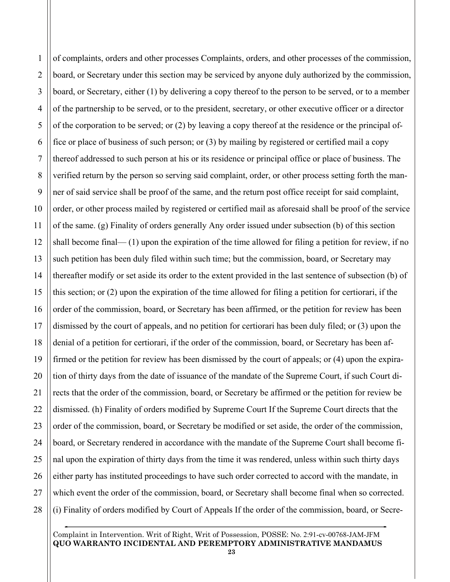1 2 3 4 5 6 7 8 9 10 11 12 13 14 15 16 17 18 19 20 21 22 23 24 25 26 27 28 of complaints, orders and other processes Complaints, orders, and other processes of the commission, board, or Secretary under this section may be serviced by anyone duly authorized by the commission, board, or Secretary, either (1) by delivering a copy thereof to the person to be served, or to a member of the partnership to be served, or to the president, secretary, or other executive officer or a director of the corporation to be served; or (2) by leaving a copy thereof at the residence or the principal office or place of business of such person; or (3) by mailing by registered or certified mail a copy thereof addressed to such person at his or its residence or principal office or place of business. The verified return by the person so serving said complaint, order, or other process setting forth the manner of said service shall be proof of the same, and the return post office receipt for said complaint, order, or other process mailed by registered or certified mail as aforesaid shall be proof of the service of the same. (g) Finality of orders generally Any order issued under subsection (b) of this section shall become final— (1) upon the expiration of the time allowed for filing a petition for review, if no such petition has been duly filed within such time; but the commission, board, or Secretary may thereafter modify or set aside its order to the extent provided in the last sentence of subsection (b) of this section; or (2) upon the expiration of the time allowed for filing a petition for certiorari, if the order of the commission, board, or Secretary has been affirmed, or the petition for review has been dismissed by the court of appeals, and no petition for certiorari has been duly filed; or (3) upon the denial of a petition for certiorari, if the order of the commission, board, or Secretary has been affirmed or the petition for review has been dismissed by the court of appeals; or (4) upon the expiration of thirty days from the date of issuance of the mandate of the Supreme Court, if such Court directs that the order of the commission, board, or Secretary be affirmed or the petition for review be dismissed. (h) Finality of orders modified by Supreme Court If the Supreme Court directs that the order of the commission, board, or Secretary be modified or set aside, the order of the commission, board, or Secretary rendered in accordance with the mandate of the Supreme Court shall become final upon the expiration of thirty days from the time it was rendered, unless within such thirty days either party has instituted proceedings to have such order corrected to accord with the mandate, in which event the order of the commission, board, or Secretary shall become final when so corrected. (i) Finality of orders modified by Court of Appeals If the order of the commission, board, or Secre-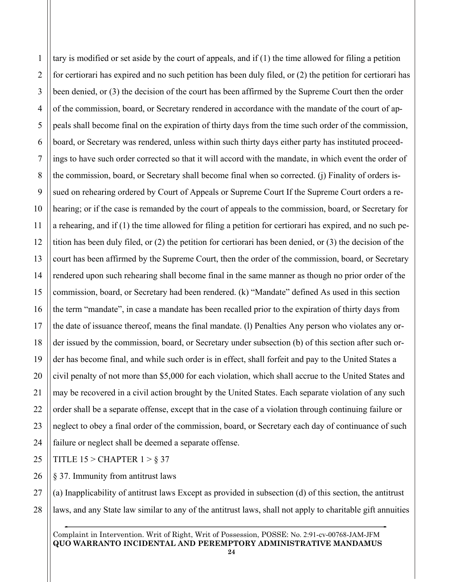1 2 3 4 5 6 7 8 9 10 11 12 13 14 15 16 17 18 19 20 21 22 23 24 tary is modified or set aside by the court of appeals, and if (1) the time allowed for filing a petition for certiorari has expired and no such petition has been duly filed, or (2) the petition for certiorari has been denied, or (3) the decision of the court has been affirmed by the Supreme Court then the order of the commission, board, or Secretary rendered in accordance with the mandate of the court of appeals shall become final on the expiration of thirty days from the time such order of the commission, board, or Secretary was rendered, unless within such thirty days either party has instituted proceedings to have such order corrected so that it will accord with the mandate, in which event the order of the commission, board, or Secretary shall become final when so corrected. (j) Finality of orders issued on rehearing ordered by Court of Appeals or Supreme Court If the Supreme Court orders a rehearing; or if the case is remanded by the court of appeals to the commission, board, or Secretary for a rehearing, and if (1) the time allowed for filing a petition for certiorari has expired, and no such petition has been duly filed, or (2) the petition for certiorari has been denied, or (3) the decision of the court has been affirmed by the Supreme Court, then the order of the commission, board, or Secretary rendered upon such rehearing shall become final in the same manner as though no prior order of the commission, board, or Secretary had been rendered. (k) "Mandate" defined As used in this section the term "mandate", in case a mandate has been recalled prior to the expiration of thirty days from the date of issuance thereof, means the final mandate. (l) Penalties Any person who violates any order issued by the commission, board, or Secretary under subsection (b) of this section after such order has become final, and while such order is in effect, shall forfeit and pay to the United States a civil penalty of not more than \$5,000 for each violation, which shall accrue to the United States and may be recovered in a civil action brought by the United States. Each separate violation of any such order shall be a separate offense, except that in the case of a violation through continuing failure or neglect to obey a final order of the commission, board, or Secretary each day of continuance of such failure or neglect shall be deemed a separate offense.

25 TITLE  $15 >$  CHAPTER  $1 > \S 37$ 

26

§ 37. Immunity from antitrust laws

27 28 (a) Inapplicability of antitrust laws Except as provided in subsection (d) of this section, the antitrust laws, and any State law similar to any of the antitrust laws, shall not apply to charitable gift annuities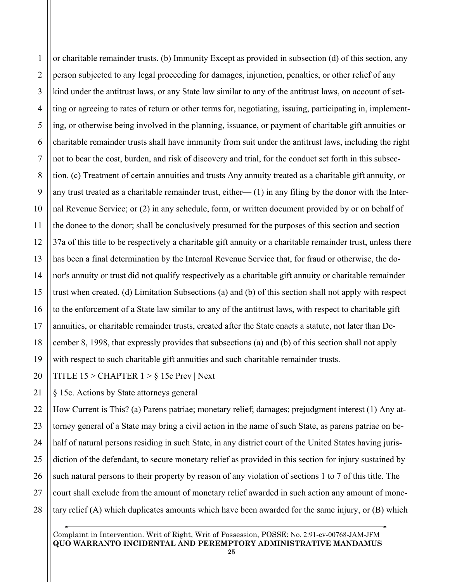1 or charitable remainder trusts. (b) Immunity Except as provided in subsection (d) of this section, any person subjected to any legal proceeding for damages, injunction, penalties, or other relief of any kind under the antitrust laws, or any State law similar to any of the antitrust laws, on account of setting or agreeing to rates of return or other terms for, negotiating, issuing, participating in, implementing, or otherwise being involved in the planning, issuance, or payment of charitable gift annuities or charitable remainder trusts shall have immunity from suit under the antitrust laws, including the right not to bear the cost, burden, and risk of discovery and trial, for the conduct set forth in this subsection. (c) Treatment of certain annuities and trusts Any annuity treated as a charitable gift annuity, or any trust treated as a charitable remainder trust, either— $(1)$  in any filing by the donor with the Internal Revenue Service; or (2) in any schedule, form, or written document provided by or on behalf of the donee to the donor; shall be conclusively presumed for the purposes of this section and section [37a](http://www.law.cornell.edu/uscode/html/uscode15/usc_sec_15_00000037---a000-.html) of this title to be respectively a charitable gift annuity or a charitable remainder trust, unless there has been a final determination by the Internal Revenue Service that, for fraud or otherwise, the donor's annuity or trust did not qualify respectively as a charitable gift annuity or charitable remainder trust when created. (d) Limitation Subsections (a) and (b) of this section shall not apply with respect to the enforcement of a State law similar to any of the antitrust laws, with respect to charitable gift annuities, or charitable remainder trusts, created after the State enacts a statute, not later than December 8, 1998, that expressly provides that subsections (a) and (b) of this section shall not apply with respect to such charitable gift annuities and such charitable remainder trusts.

TITLE  $15 >$  CHAPTER  $1 > \S$  15c [Prev |](http://www.law.cornell.edu/uscode/html/uscode15/usc_sec_15_00000015---b000-.html) Next

§ 15c. Actions by State attorneys general

[How Current is This? \(](http://www.law.cornell.edu/uscode/HowCurrent.php/?tn=15&fragid=T15F00025&extid=usc_sec_15_00000015---c000-&sourcedate=2010-06-22&proctime=Wed%20Jun%2023%2007:12:27%202010)a) Parens patriae; monetary relief; damages; prejudgment interest (1) Any attorney general of a State may bring a civil action in the name of such State, as parens patriae on behalf of natural persons residing in such State, in any district court of the United States having jurisdiction of the defendant, to secure monetary relief as provided in this section for injury sustained by such natural persons to their property by reason of any violation of sections [1 t](http://www.law.cornell.edu/uscode/html/uscode15/usc_sec_15_00000001----000-.html)o [7](http://www.law.cornell.edu/uscode/html/uscode15/usc_sec_15_00000007----000-.html) of this title. The court shall exclude from the amount of monetary relief awarded in such action any amount of monetary relief (A) which duplicates amounts which have been awarded for the same injury, or (B) which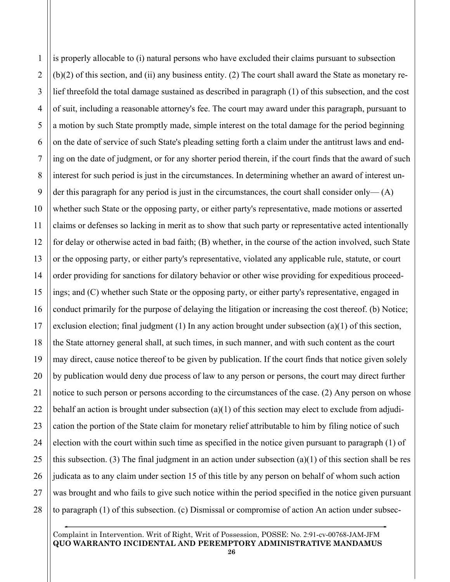1 2 3 4 5 6 7 8 9 10 11 12 13 14 15 16 17 18 19 20 21 22 23 24 25 26 27 28 is properly allocable to (i) natural persons who have excluded their claims pursuant to subsection (b)(2) of this section, and (ii) any business entity. (2) The court shall award the State as monetary relief threefold the total damage sustained as described in paragraph (1) of this subsection, and the cost of suit, including a reasonable attorney's fee. The court may award under this paragraph, pursuant to a motion by such State promptly made, simple interest on the total damage for the period beginning on the date of service of such State's pleading setting forth a claim under the antitrust laws and ending on the date of judgment, or for any shorter period therein, if the court finds that the award of such interest for such period is just in the circumstances. In determining whether an award of interest under this paragraph for any period is just in the circumstances, the court shall consider only— $(A)$ whether such State or the opposing party, or either party's representative, made motions or asserted claims or defenses so lacking in merit as to show that such party or representative acted intentionally for delay or otherwise acted in bad faith; (B) whether, in the course of the action involved, such State or the opposing party, or either party's representative, violated any applicable rule, statute, or court order providing for sanctions for dilatory behavior or other wise providing for expeditious proceedings; and (C) whether such State or the opposing party, or either party's representative, engaged in conduct primarily for the purpose of delaying the litigation or increasing the cost thereof. (b) Notice; exclusion election; final judgment  $(1)$  In any action brought under subsection  $(a)(1)$  of this section, the State attorney general shall, at such times, in such manner, and with such content as the court may direct, cause notice thereof to be given by publication. If the court finds that notice given solely by publication would deny due process of law to any person or persons, the court may direct further notice to such person or persons according to the circumstances of the case. (2) Any person on whose behalf an action is brought under subsection (a)(1) of this section may elect to exclude from adjudication the portion of the State claim for monetary relief attributable to him by filing notice of such election with the court within such time as specified in the notice given pursuant to paragraph (1) of this subsection. (3) The final judgment in an action under subsection (a)(1) of this section shall be res judicata as to any claim under section [15 o](http://www.law.cornell.edu/uscode/html/uscode15/usc_sec_15_00000015----000-.html)f this title by any person on behalf of whom such action was brought and who fails to give such notice within the period specified in the notice given pursuant to paragraph (1) of this subsection. (c) Dismissal or compromise of action An action under subsec-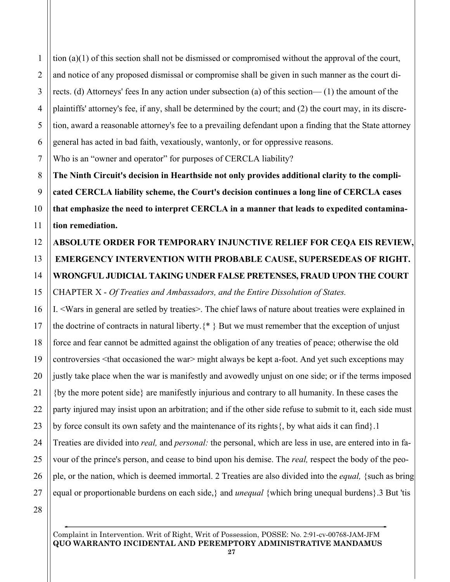2 3 4 5 6 tion (a)(1) of this section shall not be dismissed or compromised without the approval of the court, and notice of any proposed dismissal or compromise shall be given in such manner as the court directs. (d) Attorneys' fees In any action under subsection (a) of this section— (1) the amount of the plaintiffs' attorney's fee, if any, shall be determined by the court; and (2) the court may, in its discretion, award a reasonable attorney's fee to a prevailing defendant upon a finding that the State attorney general has acted in bad faith, vexatiously, wantonly, or for oppressive reasons.

Who is an "owner and operator" for purposes of CERCLA liability?

**The Ninth Circuit's decision in Hearthside not only provides additional clarity to the complicated CERCLA liability scheme, the Court's decision continues a long line of CERCLA cases that emphasize the need to interpret CERCLA in a manner that leads to expedited contamination remediation.**

#### 12 13 14 15 **ABSOLUTE ORDER FOR TEMPORARY INJUNCTIVE RELIEF FOR CEQA EIS REVIEW, EMERGENCY INTERVENTION WITH PROBABLE CAUSE, SUPERSEDEAS OF RIGHT. WRONGFUL JUDICIAL TAKING UNDER FALSE PRETENSES, FRAUD UPON THE COURT**

CHAPTER X - *[Of Treaties and Ambassadors, and the Entire Dissolution of States.](http://frwebgate.access.gpo.gov/cgi-bin/getdoc.cgi?dbname=111_cong_bills&docid=f:s372rs.txt.pdf)* 

16 17 18 19 20 21 22 23 24 I. <Wars in general are setled by treaties>. The chief laws of nature about treaties were explained in the doctrine of contracts in natural liberty. $\{^*\}$  But we must remember that the exception of unjust force and fear cannot be admitted against the obligation of any treaties of peace; otherwise the old controversies <that occasioned the war> might always be kept a-foot. And yet such exceptions may justly take place when the war is manifestly and avowedly unjust on one side; or if the terms imposed {by the more potent side} are manifestly injurious and contrary to all humanity. In these cases the party injured may insist upon an arbitration; and if the other side refuse to submit to it, each side must by force consult its own safety and the maintenance of its rights{, by what aids it can find}[.1](http://oll.libertyfund.org/?option=com_staticxt&staticfile=show.php%3Ftitle=2059&chapter=155413&layout=html&Itemid=27#lfHutcheson_footnote_nt658)  Treaties are divided into *real,* and *personal:* the personal, which are less in use, are entered into in favour of the prince's person, and cease to bind upon his demise. The *real,* respect the body of the people, or the nation, which is deemed immortal. [2 T](http://oll.libertyfund.org/?option=com_staticxt&staticfile=show.php%3Ftitle=2059&chapter=155413&layout=html&Itemid=27#lfHutcheson_footnote_nt659)reaties are also divided into the *equal,* {such as bring equal or proportionable burdens on each side,} and *unequal* {which bring unequal burdens}.[3 B](http://oll.libertyfund.org/?option=com_staticxt&staticfile=show.php%3Ftitle=2059&chapter=155413&layout=html&Itemid=27#lfHutcheson_footnote_nt660)ut 'tis

1

7

8

9

10

11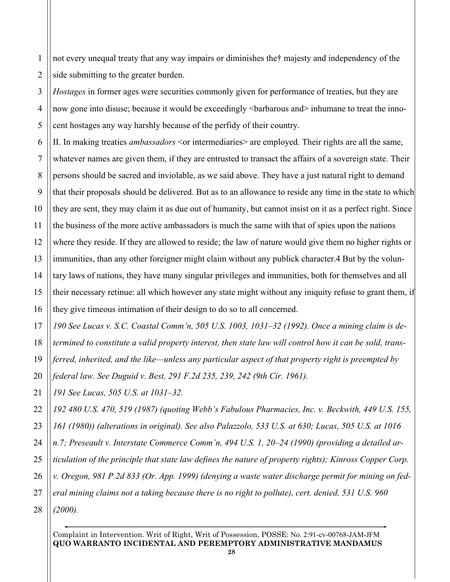1 2 not every unequal treaty that any way impairs or diminishes th[e†](http://oll.libertyfund.org/?option=com_staticxt&staticfile=show.php%3Ftitle=2059&chapter=155413&layout=html&Itemid=27#lfHutcheson_footnote_nt661) majesty and independency of the side submitting to the greater burden.

3 4 5 *Hostages* in former ages were securities commonly given for performance of treaties, but they are now gone into disuse; because it would be exceedingly  $\triangle$ barbarous and $\triangleright$  inhumane to treat the innocent hostages any way harshly because of the perfidy of their country.

6 7 8 9 10 11 12 13 14 15 16 II. In making treaties *ambassadors* < or intermediaries are employed. Their rights are all the same, whatever names are given them, if they are entrusted to transact the affairs of a sovereign state. Their persons should be sacred and inviolable, as we said above. They have a just natural right to demand that their proposals should be delivered. But as to an allowance to reside any time in the state to which they are sent, they may claim it as due out of humanity, but cannot insist on it as a perfect right. Since the business of the more active ambassadors is much the same with that of spies upon the nations where they reside. If they are allowed to reside; the law of nature would give them no higher rights or immunities, than any other foreigner might claim without any publick character[.4](http://oll.libertyfund.org/?option=com_staticxt&staticfile=show.php%3Ftitle=2059&chapter=155413&layout=html&Itemid=27#lfHutcheson_footnote_nt662) But by the voluntary laws of nations, they have many singular privileges and immunities, both for themselves and all their necessary retinue: all which however any state might without any iniquity refuse to grant them, if they give timeous intimation of their design to do so to all concerned.

17 18 19 20 *[190](http://www.bc.edu/schools/law/lawreviews/meta-elements/journals/bcealr/30_1/01_TXT.htm#T190) See Lucas v. S.C. Coastal Comm'n, 505 U.S. 1003, 1031–32 (1992). Once a mining claim is determined to constitute a valid property interest, then state law will control how it can be sold, transferred, inherited, and the like—unless any particular aspect of that property right is preempted by federal law. See Duguid v. Best, 291 F.2d 235, 239, 242 (9th Cir. 1961).*

*[191](http://www.bc.edu/schools/law/lawreviews/meta-elements/journals/bcealr/30_1/01_TXT.htm#T191) See Lucas, 505 U.S. at 1031–32.*

21

22 23 24 25 26 27 28 *[192](http://www.bc.edu/schools/law/lawreviews/meta-elements/journals/bcealr/30_1/01_TXT.htm#T192) 480 U.S. 470, 519 (1987) (quoting Webb's Fabulous Pharmacies, Inc. v. Beckwith, 449 U.S. 155, 161 (1980)) (alterations in original). See also Palazzolo, 533 U.S. at 630; Lucas, 505 U.S. at 1016 n.7; Preseault v. Interstate Commerce Comm'n, 494 U.S. 1, 20–24 (1990) (providing a detailed articulation of the principle that state law defines the nature of property rights); Kinross Copper Corp. v. Oregon, 981 P.2d 833 (Or. App. 1999) (denying a waste water discharge permit for mining on federal mining claims not a taking because there is no right to pollute), cert. denied, 531 U.S. 960 (2000).*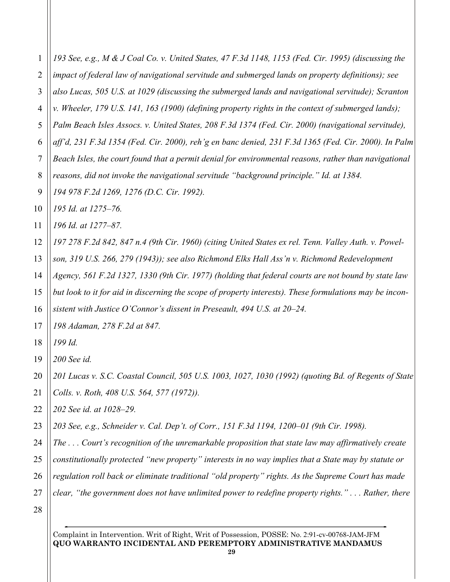*See, e.g., M & J Coal Co. v. United States, 47 F.3d 1148, 1153 (Fed. Cir. 1995) (discussing the impact of federal law of navigational servitude and submerged lands on property definitions); see also Lucas, 505 U.S. at 1029 (discussing the submerged lands and navigational servitude); Scranton v. Wheeler, 179 U.S. 141, 163 (1900) (defining property rights in the context of submerged lands); Palm Beach Isles Assocs. v. United States, 208 F.3d 1374 (Fed. Cir. 2000) (navigational servitude), aff'd, 231 F.3d 1354 (Fed. Cir. 2000), reh'g en banc denied, 231 F.3d 1365 (Fed. Cir. 2000). In Palm Beach Isles, the court found that a permit denial for environmental reasons, rather than navigational reasons, did not invoke the navigational servitude "background principle." Id. at 1384. 978 F.2d 1269, 1276 (D.C. Cir. 1992). Id. at 1275–76. Id. at 1277–87. 278 F.2d 842, 847 n.4 (9th Cir. 1960) (citing United States ex rel. Tenn. Valley Auth. v. Powelson, 319 U.S. 266, 279 (1943)); see also Richmond Elks Hall Ass'n v. Richmond Redevelopment Agency, 561 F.2d 1327, 1330 (9th Cir. 1977) (holding that federal courts are not bound by state law but look to it for aid in discerning the scope of property interests). These formulations may be inconsistent with Justice O'Connor's dissent in Preseault, 494 U.S. at 20–24. Adaman, 278 F.2d at 847. Id. See id. Lucas v. S.C. Coastal Council, 505 U.S. 1003, 1027, 1030 (1992) (quoting Bd. of Regents of State* 

 *Colls. v. Roth, 408 U.S. 564, 577 (1972)).*

  *See id. at 1028–29.*

  *See, e.g., Schneider v. Cal. Dep't. of Corr., 151 F.3d 1194, 1200–01 (9th Cir. 1998).*

 *The . . . Court's recognition of the unremarkable proposition that state law may affirmatively create* 

 *constitutionally protected "new property" interests in no way implies that a State may by statute or* 

 *regulation roll back or eliminate traditional "old property" rights. As the Supreme Court has made* 

 *clear, "the government does not have unlimited power to redefine property rights." . . . Rather, there*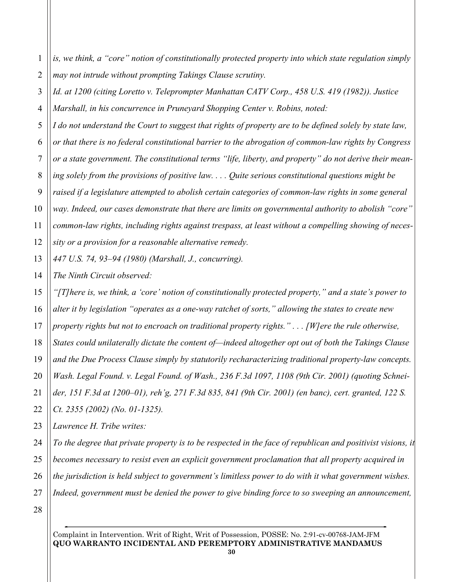1 2 *is, we think, a "core" notion of constitutionally protected property into which state regulation simply may not intrude without prompting Takings Clause scrutiny.*

3 4 *Id. at 1200 (citing Loretto v. Teleprompter Manhattan CATV Corp., 458 U.S. 419 (1982)). Justice Marshall, in his concurrence in Pruneyard Shopping Center v. Robins, noted:*

5 6 7 8 9 10 11 12 *I do not understand the Court to suggest that rights of property are to be defined solely by state law, or that there is no federal constitutional barrier to the abrogation of common-law rights by Congress or a state government. The constitutional terms "life, liberty, and property" do not derive their meaning solely from the provisions of positive law. . . . Quite serious constitutional questions might be raised if a legislature attempted to abolish certain categories of common-law rights in some general way. Indeed, our cases demonstrate that there are limits on governmental authority to abolish "core" common-law rights, including rights against trespass, at least without a compelling showing of necessity or a provision for a reasonable alternative remedy.*

13 *447 U.S. 74, 93–94 (1980) (Marshall, J., concurring).*

14 *The Ninth Circuit observed:*

15 16 17 18 19 20 21 22 *"[T]here is, we think, a 'core' notion of constitutionally protected property," and a state's power to alter it by legislation "operates as a one-way ratchet of sorts," allowing the states to create new property rights but not to encroach on traditional property rights." . . . [W]ere the rule otherwise, States could unilaterally dictate the content of—indeed altogether opt out of both the Takings Clause and the Due Process Clause simply by statutorily recharacterizing traditional property-law concepts. Wash. Legal Found. v. Legal Found. of Wash., 236 F.3d 1097, 1108 (9th Cir. 2001) (quoting Schneider, 151 F.3d at 1200–01), reh'g, 271 F.3d 835, 841 (9th Cir. 2001) (en banc), cert. granted, 122 S. Ct. 2355 (2002) (No. 01-1325).*

23 *Lawrence H. Tribe writes:*

24 25 26 27 *To the degree that private property is to be respected in the face of republican and positivist visions, it becomes necessary to resist even an explicit government proclamation that all property acquired in the jurisdiction is held subject to government's limitless power to do with it what government wishes.*  Indeed, government must be denied the power to give binding force to so sweeping an announcement,

28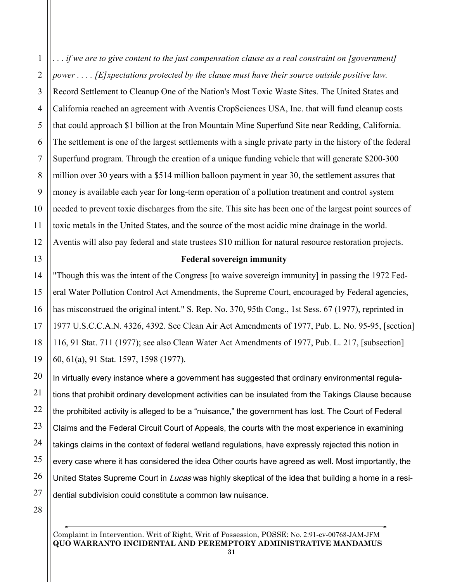1 2 3 4 5 6 7 8 9 10 11 12 *. . . if we are to give content to the just compensation clause as a real constraint on [government] power . . . . [E]xpectations protected by the clause must have their source outside positive law.* Record Settlement to Cleanup One of the Nation's Most Toxic Waste Sites. The United States and California reached an agreement with Aventis CropSciences USA, Inc. that will fund cleanup costs that could approach \$1 billion at the Iron Mountain Mine Superfund Site near Redding, California. The settlement is one of the largest settlements with a single private party in the history of the federal Superfund program. Through the creation of a unique funding vehicle that will generate \$200-300 million over 30 years with a \$514 million balloon payment in year 30, the settlement assures that money is available each year for long-term operation of a pollution treatment and control system needed to prevent toxic discharges from the site. This site has been one of the largest point sources of toxic metals in the United States, and the source of the most acidic mine drainage in the world. Aventis will also pay federal and state trustees \$10 million for natural resource restoration projects.

#### **[Federal sovereign immunity](http://goliath.ecnext.com/coms2/gi_0199-6017143/Federal-sovereign-immunity-versus-state.html)**

["Though this was the intent of the Congress \[to waive sovereign immunity\] in passing the 1972 Fed](http://goliath.ecnext.com/coms2/gi_0199-6017143/Federal-sovereign-immunity-versus-state.html)[eral Water Pollution Control Act Amendments, the Supreme Court, encouraged by Federal agencies,](http://goliath.ecnext.com/coms2/gi_0199-6017143/Federal-sovereign-immunity-versus-state.html)  [has misconstrued the original intent." S. Rep. No. 370, 95th Cong., 1st Sess. 67 \(1977\), reprinted in](http://goliath.ecnext.com/coms2/gi_0199-6017143/Federal-sovereign-immunity-versus-state.html)  [1977 U.S.C.C.A.N. 4326, 4392. See Clean Air Act Amendments of 1977, Pub. L. No. 95-95, \[section\]](http://goliath.ecnext.com/coms2/gi_0199-6017143/Federal-sovereign-immunity-versus-state.html)  [116, 91 Stat. 711 \(1977\); see also Clean Water Act Amendments of 1977, Pub. L. 217, \[subsection\]](http://goliath.ecnext.com/coms2/gi_0199-6017143/Federal-sovereign-immunity-versus-state.html)  [60, 61\(a\), 91 Stat. 1597, 1598 \(1977\).](http://goliath.ecnext.com/coms2/gi_0199-6017143/Federal-sovereign-immunity-versus-state.html) 

In virtually every instance where a government has suggested that ordinary environmental regulations that prohibit ordinary development activities can be insulated from the Takings Clause because the prohibited activity is alleged to be a "nuisance," the government has lost. The Court of Federal Claims and the Federal Circuit Court of Appeals, the courts with the most experience in examining takings claims in the context of federal wetland regulations, have expressly rejected this notion in every case where it has considered the idea Other courts have agreed as well. Most importantly, the United States Supreme Court in Lucas was highly skeptical of the idea that building a home in a residential subdivision could constitute a common law nuisance.

28

13

14

15

16

17

18

19

20

21

22

23

24

25

26

27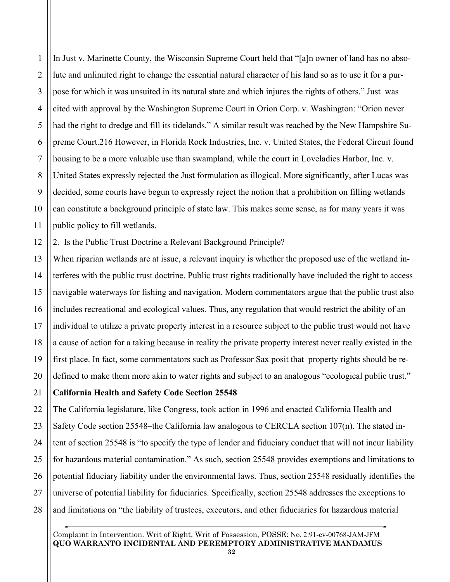1 In Just v. Marinette County, the Wisconsin Supreme Court held that "[a]n owner of land has no absolute and unlimited right to change the essential natural character of his land so as to use it for a purpose for which it was unsuited in its natural state and which injures the rights of others." Just was cited with approval by the Washington Supreme Court in Orion Corp. v. Washington: "Orion never had the right to dredge and fill its tidelands." A similar result was reached by the New Hampshire Supreme Court[.216](http://www.bc.edu/schools/law/lawreviews/meta-elements/journals/bcealr/30_1/01_FTN.htm#F216) However, in Florida Rock Industries, Inc. v. United States, the Federal Circuit found housing to be a more valuable use than swampland, while the court in Loveladies Harbor, Inc. v. United States expressly rejected the Just formulation as illogical. More significantly, after Lucas was decided, some courts have begun to expressly reject the notion that a prohibition on filling wetlands can constitute a background principle of state law. This makes some sense, as for many years it was public policy to fill wetlands.

2. Is the Public Trust Doctrine a Relevant Background Principle?

When riparian wetlands are at issue, a relevant inquiry is whether the proposed use of the wetland interferes with the public trust doctrine. Public trust rights traditionally have included the right to access navigable waterways for fishing and navigation. Modern commentators argue that the public trust also includes recreational and ecological values. Thus, any regulation that would restrict the ability of an individual to utilize a private property interest in a resource subject to the public trust would not have a cause of action for a taking because in reality the private property interest never really existed in the first place. In fact, some commentators such as Professor Sax posit that property rights should be redefined to make them more akin to water rights and subject to an analogous "ecological public trust."

**California Health and Safety Code Section 25548**

The California legislature, like Congress, took action in 1996 and enacted California Health and Safety Code section 25548–the California law analogous to CERCLA section 107(n). The stated intent of section 25548 is "to specify the type of lender and fiduciary conduct that will not incur liability for hazardous material contamination." As such, section 25548 provides exemptions and limitations to potential fiduciary liability under the environmental laws. Thus, section 25548 residually identifies the universe of potential liability for fiduciaries. Specifically, section 25548 addresses the exceptions to and limitations on "the liability of trustees, executors, and other fiduciaries for hazardous material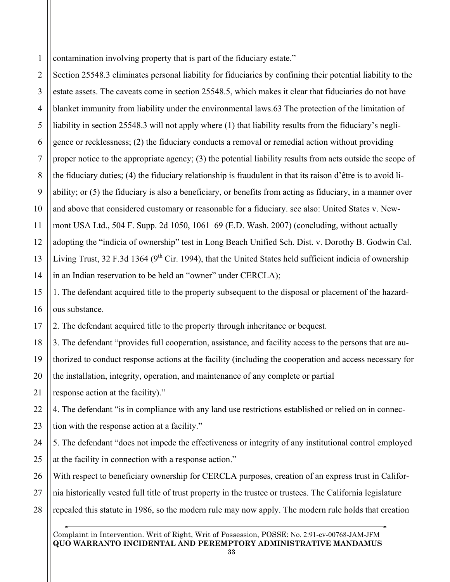1 contamination involving property that is part of the fiduciary estate."

Section 25548.3 eliminates personal liability for fiduciaries by confining their potential liability to the estate assets. The caveats come in section 25548.5, which makes it clear that fiduciaries do not have blanket immunity from liability under the environmental laws.63 The protection of the limitation of liability in section 25548.3 will not apply where (1) that liability results from the fiduciary's negligence or recklessness; (2) the fiduciary conducts a removal or remedial action without providing proper notice to the appropriate agency; (3) the potential liability results from acts outside the scope of the fiduciary duties; (4) the fiduciary relationship is fraudulent in that its raison d'être is to avoid liability; or (5) the fiduciary is also a beneficiary, or benefits from acting as fiduciary, in a manner over and above that considered customary or reasonable for a fiduciary. see also: United States v. Newmont USA Ltd., 504 F. Supp. 2d 1050, 1061–69 (E.D. Wash. 2007) (concluding, without actually adopting the "indicia of ownership" test in Long Beach Unified Sch. Dist. v. Dorothy B. Godwin Cal. Living Trust, 32 F.3d 1364 ( $9<sup>th</sup>$  Cir. 1994), that the United States held sufficient indicia of ownership in an Indian reservation to be held an "owner" under CERCLA);

1. The defendant acquired title to the property subsequent to the disposal or placement of the hazardous substance.

2. The defendant acquired title to the property through inheritance or bequest.

3. The defendant "provides full cooperation, assistance, and facility access to the persons that are authorized to conduct response actions at the facility (including the cooperation and access necessary for the installation, integrity, operation, and maintenance of any complete or partial

response action at the facility)."

4. The defendant "is in compliance with any land use restrictions established or relied on in connection with the response action at a facility."

5. The defendant "does not impede the effectiveness or integrity of any institutional control employed at the facility in connection with a response action."

With respect to beneficiary ownership for CERCLA purposes, creation of an express trust in California historically vested full title of trust property in the trustee or trustees. The California legislature repealed this statute in 1986, so the modern rule may now apply. The modern rule holds that creation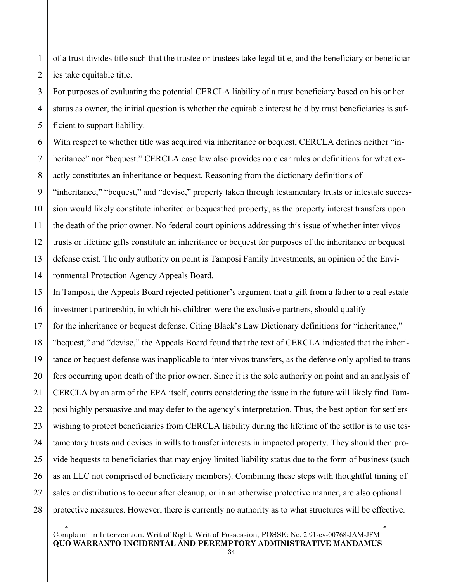1 2 of a trust divides title such that the trustee or trustees take legal title, and the beneficiary or beneficiaries take equitable title.

3 4 5 For purposes of evaluating the potential CERCLA liability of a trust beneficiary based on his or her status as owner, the initial question is whether the equitable interest held by trust beneficiaries is sufficient to support liability.

6 7 8 9 10 11 12 13 14 With respect to whether title was acquired via inheritance or bequest, CERCLA defines neither "inheritance" nor "bequest." CERCLA case law also provides no clear rules or definitions for what exactly constitutes an inheritance or bequest. Reasoning from the dictionary definitions of "inheritance," "bequest," and "devise," property taken through testamentary trusts or intestate succession would likely constitute inherited or bequeathed property, as the property interest transfers upon the death of the prior owner. No federal court opinions addressing this issue of whether inter vivos trusts or lifetime gifts constitute an inheritance or bequest for purposes of the inheritance or bequest defense exist. The only authority on point is Tamposi Family Investments, an opinion of the Environmental Protection Agency Appeals Board.

15

17

18

19

20

21

22

23

25

26

27

28

16 24 In Tamposi, the Appeals Board rejected petitioner's argument that a gift from a father to a real estate investment partnership, in which his children were the exclusive partners, should qualify for the inheritance or bequest defense. Citing Black's Law Dictionary definitions for "inheritance," "bequest," and "devise," the Appeals Board found that the text of CERCLA indicated that the inheritance or bequest defense was inapplicable to inter vivos transfers, as the defense only applied to transfers occurring upon death of the prior owner. Since it is the sole authority on point and an analysis of CERCLA by an arm of the EPA itself, courts considering the issue in the future will likely find Tamposi highly persuasive and may defer to the agency's interpretation. Thus, the best option for settlers wishing to protect beneficiaries from CERCLA liability during the lifetime of the settlor is to use testamentary trusts and devises in wills to transfer interests in impacted property. They should then provide bequests to beneficiaries that may enjoy limited liability status due to the form of business (such as an LLC not comprised of beneficiary members). Combining these steps with thoughtful timing of sales or distributions to occur after cleanup, or in an otherwise protective manner, are also optional protective measures. However, there is currently no authority as to what structures will be effective.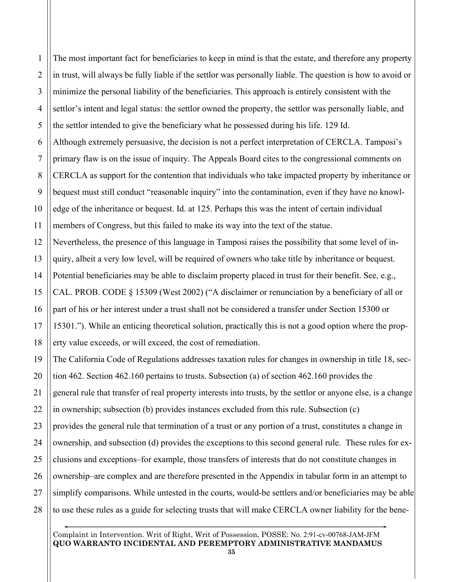1 2 3 4 5 6 7 8 9 10 11 12 13 14 15 16 17 18 19 20 21 22 23 24 25 26 The most important fact for beneficiaries to keep in mind is that the estate, and therefore any property in trust, will always be fully liable if the settlor was personally liable. The question is how to avoid or minimize the personal liability of the beneficiaries. This approach is entirely consistent with the settlor's intent and legal status: the settlor owned the property, the settlor was personally liable, and the settlor intended to give the beneficiary what he possessed during his life. 129 Id. Although extremely persuasive, the decision is not a perfect interpretation of CERCLA. Tamposi's primary flaw is on the issue of inquiry. The Appeals Board cites to the congressional comments on CERCLA as support for the contention that individuals who take impacted property by inheritance or bequest must still conduct "reasonable inquiry" into the contamination, even if they have no knowledge of the inheritance or bequest. Id. at 125. Perhaps this was the intent of certain individual members of Congress, but this failed to make its way into the text of the statue. Nevertheless, the presence of this language in Tamposi raises the possibility that some level of inquiry, albeit a very low level, will be required of owners who take title by inheritance or bequest. Potential beneficiaries may be able to disclaim property placed in trust for their benefit. See, e.g., CAL. PROB. CODE § 15309 (West 2002) ("A disclaimer or renunciation by a beneficiary of all or part of his or her interest under a trust shall not be considered a transfer under Section 15300 or 15301."). While an enticing theoretical solution, practically this is not a good option where the property value exceeds, or will exceed, the cost of remediation. The California Code of Regulations addresses taxation rules for changes in ownership in title 18, section 462. Section 462.160 pertains to trusts. Subsection (a) of section 462.160 provides the general rule that transfer of real property interests into trusts, by the settlor or anyone else, is a change in ownership; subsection (b) provides instances excluded from this rule. Subsection (c) provides the general rule that termination of a trust or any portion of a trust, constitutes a change in ownership, and subsection (d) provides the exceptions to this second general rule. These rules for exclusions and exceptions–for example, those transfers of interests that do not constitute changes in ownership–are complex and are therefore presented in the Appendix in tabular form in an attempt to

27 28 simplify comparisons. While untested in the courts, would-be settlers and/or beneficiaries may be able to use these rules as a guide for selecting trusts that will make CERCLA owner liability for the bene-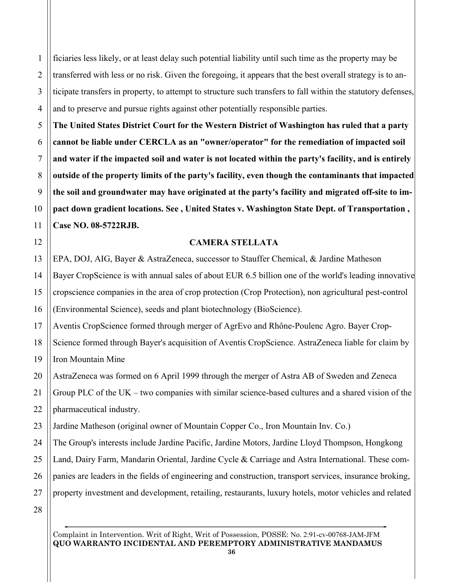3 4 ficiaries less likely, or at least delay such potential liability until such time as the property may be transferred with less or no risk. Given the foregoing, it appears that the best overall strategy is to anticipate transfers in property, to attempt to structure such transfers to fall within the statutory defenses, and to preserve and pursue rights against other potentially responsible parties.

**The United States District Court for the Western District of Washington has ruled that a party cannot be liable under CERCLA as an "owner/operator" for the remediation of impacted soil and water if the impacted soil and water is not located within the party's facility, and is entirely outside of the property limits of the party's facility, even though the contaminants that impacted the soil and groundwater may have originated at the party's facility and migrated off-site to impact down gradient locations. See , [United States v. Washington State Dept. of Transportation ,](http://op.bna.com/txlr.nsf/r?Open=spak-87blzk) Case NO. 08-5722RJB.**

#### **CAMERA STELLATA**

EPA, DOJ, AIG, Bayer & AstraZeneca, successor to Stauffer Chemical, & Jardine Matheson Bayer CropScience is with annual sales of about EUR 6.5 billion one of the world's leading innovative cropscience companies in the area of crop protection (Crop Protection), non agricultural pest-control (Environmental Science), seeds and plant biotechnology (BioScience).

Aventis CropScience formed through merger of AgrEvo and Rhône-Poulenc Agro. Bayer Crop-

Science formed through Bayer's acquisition of Aventis CropScience. AstraZeneca liable for claim by Iron Mountain Mine

AstraZeneca was formed on 6 April 1999 through the merger of Astra AB of Sweden and Zeneca

Group PLC of the UK – two companies with similar science-based cultures and a shared vision of the pharmaceutical industry.

Jardine Matheson (original owner of Mountain Copper Co., Iron Mountain Inv. Co.)

The Group's interests include Jardine Pacific, Jardine Motors, Jardine Lloyd Thompson, Hongkong Land, Dairy Farm, Mandarin Oriental, Jardine Cycle & Carriage and Astra International. These companies are leaders in the fields of engineering and construction, transport services, insurance broking, property investment and development, retailing, restaurants, luxury hotels, motor vehicles and related

1

2

5

6

7

8

9

10

11

12

13

14

15

16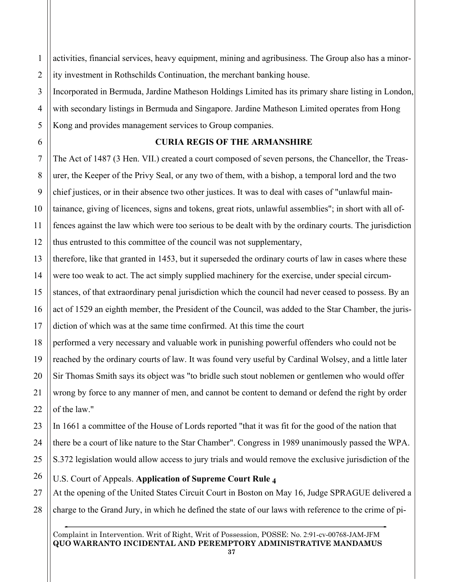1 2 activities, financial services, heavy equipment, mining and agribusiness. The Group also has a minority investment in Rothschilds Continuation, the merchant banking house.

3 Incorporated in Bermuda, Jardine Matheson Holdings Limited has its primary share listing in London, with secondary listings in Bermuda and Singapore. Jardine Matheson Limited operates from Hong Kong and provides management services to Group companies.

## **CURIA REGIS OF THE ARMANSHIRE**

The Act of 1487 (3 Hen. VII.) created a court composed of seven persons, the Chancellor, the Treasurer, the Keeper of the Privy Seal, or any two of them, with a bishop, a temporal lord and the two chief justices, or in their absence two other justices. It was to deal with cases of "unlawful maintainance, giving of licences, signs and tokens, great riots, unlawful assemblies"; in short with all offences against the law which were too serious to be dealt with by the ordinary courts. The jurisdiction thus entrusted to this committee of the council was not supplementary,

therefore, like that granted in 1453, but it superseded the ordinary courts of law in cases where these were too weak to act. The act simply supplied machinery for the exercise, under special circum-

stances, of that extraordinary penal jurisdiction which the council had never ceased to possess. By an act of 1529 an eighth member, the President of the Council, was added to the Star Chamber, the jurisdiction of which was at the same time confirmed. At this time the court

performed a very necessary and valuable work in punishing powerful offenders who could not be reached by the ordinary courts of law. It was found very useful by Cardinal Wolsey, and a little later Sir Thomas Smith says its object was "to bridle such stout noblemen or gentlemen who would offer wrong by force to any manner of men, and cannot be content to demand or defend the right by order of the law."

In 1661 a committee of the House of Lords reported "that it was fit for the good of the nation that

there be a court of like nature to the Star Chamber". Congress in 1989 unanimously passed the WPA.

S.372 legislation would allow access to jury trials and would remove the exclusive jurisdiction of the

U.S. Court of Appeals. **Application of Supreme Court Rule 4**

At the opening of the United States Circuit Court in Boston on May 16, Judge SPRAGUE delivered a charge to the Grand Jury, in which he defined the state of our laws with reference to the crime of pi-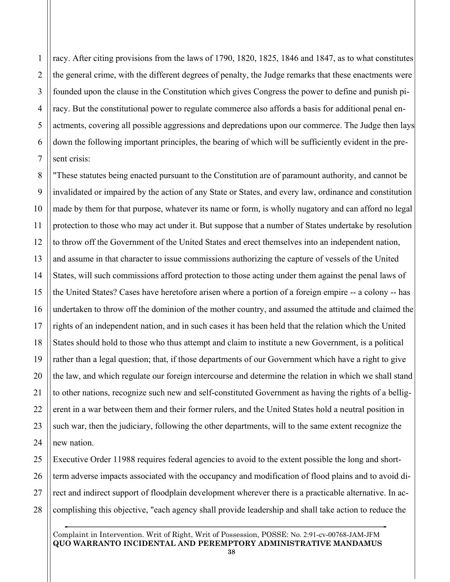racy. After citing provisions from the laws of 1790, 1820, 1825, 1846 and 1847, as to what constitutes the general crime, with the different degrees of penalty, the Judge remarks that these enactments were founded upon the clause in the Constitution which gives Congress the power to define and punish piracy. But the constitutional power to regulate commerce also affords a basis for additional penal enactments, covering all possible aggressions and depredations upon our commerce. The Judge then lays down the following important principles, the bearing of which will be sufficiently evident in the present crisis:

"These statutes being enacted pursuant to the Constitution are of paramount authority, and cannot be invalidated or impaired by the action of any State or States, and every law, ordinance and constitution made by them for that purpose, whatever its name or form, is wholly nugatory and can afford no legal protection to those who may act under it. But suppose that a number of States undertake by resolution to throw off the Government of the United States and erect themselves into an independent nation, and assume in that character to issue commissions authorizing the capture of vessels of the United States, will such commissions afford protection to those acting under them against the penal laws of the United States? Cases have heretofore arisen where a portion of a foreign empire -- a colony -- has undertaken to throw off the dominion of the mother country, and assumed the attitude and claimed the rights of an independent nation, and in such cases it has been held that the relation which the United States should hold to those who thus attempt and claim to institute a new Government, is a political rather than a legal question; that, if those departments of our Government which have a right to give the law, and which regulate our foreign intercourse and determine the relation in which we shall stand to other nations, recognize such new and self-constituted Government as having the rights of a belligerent in a war between them and their former rulers, and the United States hold a neutral position in such war, then the judiciary, following the other departments, will to the same extent recognize the new nation.

Executive Order 11988 requires federal agencies to avoid to the extent possible the long and shortterm adverse impacts associated with the occupancy and modification of flood plains and to avoid direct and indirect support of floodplain development wherever there is a practicable alternative. In accomplishing this objective, "each agency shall provide leadership and shall take action to reduce the